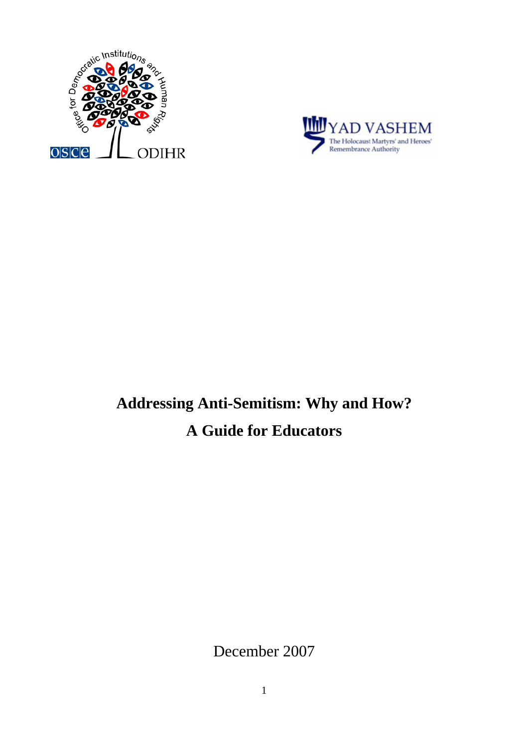



# **Addressing Anti-Semitism: Why and How? A Guide for Educators**

December 2007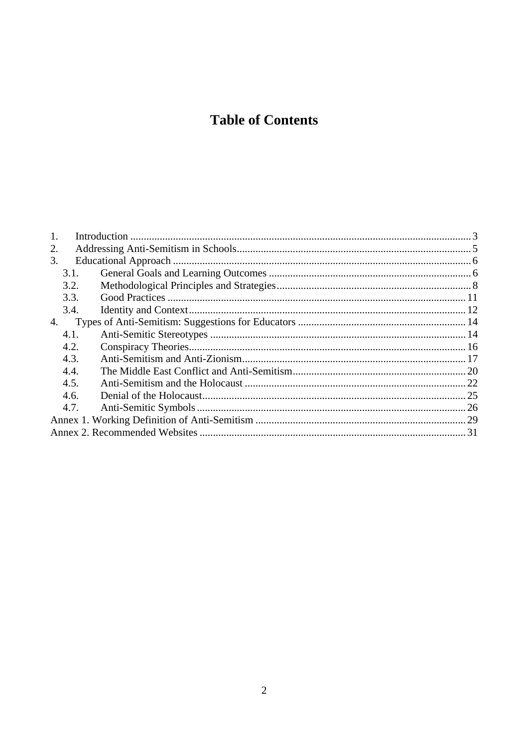## **Table of Contents**

| 1. |      |  |  |
|----|------|--|--|
| 2. |      |  |  |
| 3. |      |  |  |
|    | 3.1. |  |  |
|    | 3.2. |  |  |
|    | 3.3. |  |  |
|    | 3.4. |  |  |
| 4. |      |  |  |
|    | 4.1. |  |  |
|    | 4.2. |  |  |
|    | 4.3. |  |  |
|    | 4.4. |  |  |
|    | 4.5. |  |  |
|    | 4.6. |  |  |
|    | 4.7. |  |  |
|    |      |  |  |
|    |      |  |  |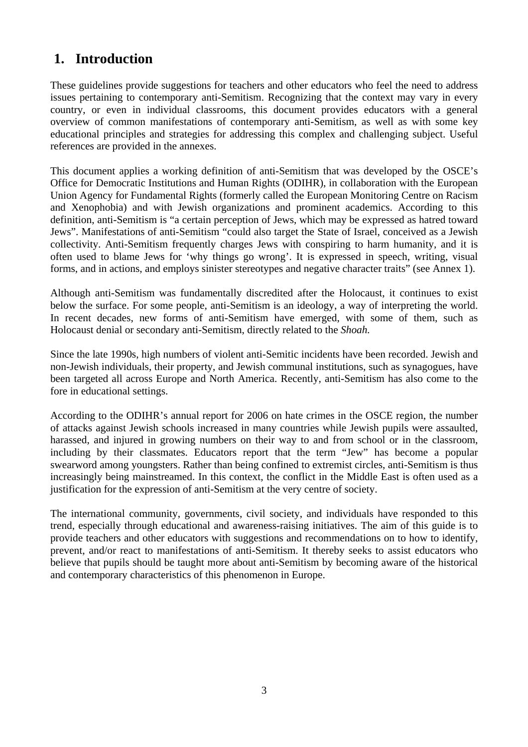## <span id="page-2-0"></span> **1. Introduction**

These guidelines provide suggestions for teachers and other educators who feel the need to address issues pertaining to contemporary anti-Semitism. Recognizing that the context may vary in every country, or even in individual classrooms, this document provides educators with a general overview of common manifestations of contemporary anti-Semitism, as well as with some key educational principles and strategies for addressing this complex and challenging subject. Useful references are provided in the annexes.

This document applies a working definition of anti-Semitism that was developed by the OSCE's Office for Democratic Institutions and Human Rights (ODIHR), in collaboration with the European Union Agency for Fundamental Rights (formerly called the European Monitoring Centre on Racism and Xenophobia) and with Jewish organizations and prominent academics. According to this definition, anti-Semitism is "a certain perception of Jews, which may be expressed as hatred toward Jews". Manifestations of anti-Semitism "could also target the State of Israel, conceived as a Jewish collectivity. Anti-Semitism frequently charges Jews with conspiring to harm humanity, and it is often used to blame Jews for 'why things go wrong'. It is expressed in speech, writing, visual forms, and in actions, and employs sinister stereotypes and negative character traits" (see Annex 1).

Although anti-Semitism was fundamentally discredited after the Holocaust, it continues to exist below the surface. For some people, anti-Semitism is an ideology, a way of interpreting the world. In recent decades, new forms of anti-Semitism have emerged, with some of them, such as Holocaust denial or secondary anti-Semitism, directly related to the *Shoah.*

Since the late 1990s, high numbers of violent anti-Semitic incidents have been recorded. Jewish and non-Jewish individuals, their property, and Jewish communal institutions, such as synagogues, have been targeted all across Europe and North America. Recently, anti-Semitism has also come to the fore in educational settings.

According to the ODIHR's annual report for 2006 on hate crimes in the OSCE region, the number of attacks against Jewish schools increased in many countries while Jewish pupils were assaulted, harassed, and injured in growing numbers on their way to and from school or in the classroom, including by their classmates. Educators report that the term "Jew" has become a popular swearword among youngsters. Rather than being confined to extremist circles, anti-Semitism is thus increasingly being mainstreamed. In this context, the conflict in the Middle East is often used as a justification for the expression of anti-Semitism at the very centre of society.

The international community, governments, civil society, and individuals have responded to this trend, especially through educational and awareness-raising initiatives. The aim of this guide is to provide teachers and other educators with suggestions and recommendations on to how to identify, prevent, and/or react to manifestations of anti-Semitism. It thereby seeks to assist educators who believe that pupils should be taught more about anti-Semitism by becoming aware of the historical and contemporary characteristics of this phenomenon in Europe.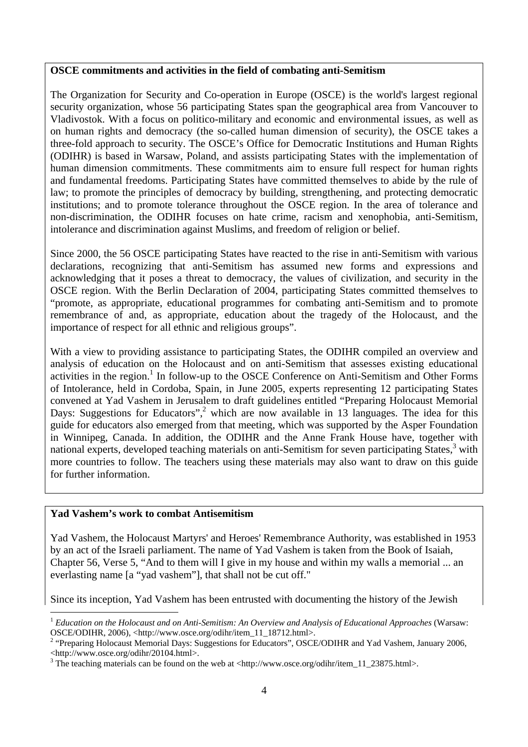#### **OSCE commitments and activities in the field of combating anti-Semitism**

The Organization for Security and Co-operation in Europe (OSCE) is the world's largest regional security organization, whose 56 participating States span the geographical area from Vancouver to Vladivostok. With a focus on politico-military and economic and environmental issues, as well as on human rights and democracy (the so-called human dimension of security), the OSCE takes a three-fold approach to security. The OSCE's Office for Democratic Institutions and Human Rights (ODIHR) is based in Warsaw, Poland, and assists participating States with the implementation of human dimension commitments. These commitments aim to ensure full respect for human rights and fundamental freedoms. Participating States have committed themselves to abide by the rule of law; to promote the principles of democracy by building, strengthening, and protecting democratic institutions; and to promote tolerance throughout the OSCE region. In the area of tolerance and non-discrimination, the ODIHR focuses on hate crime, racism and xenophobia, anti-Semitism, intolerance and discrimination against Muslims, and freedom of religion or belief.

Since 2000, the 56 OSCE participating States have reacted to the rise in anti-Semitism with various declarations, recognizing that anti-Semitism has assumed new forms and expressions and acknowledging that it poses a threat to democracy, the values of civilization, and security in the OSCE region. With the Berlin Declaration of 2004, participating States committed themselves to "promote, as appropriate, educational programmes for combating anti-Semitism and to promote remembrance of and, as appropriate, education about the tragedy of the Holocaust, and the importance of respect for all ethnic and religious groups".

With a view to providing assistance to participating States, the ODIHR compiled an overview and analysis of education on the Holocaust and on anti-Semitism that assesses existing educational activities in the region.<sup>[1](#page-3-0)</sup> In follow-up to the OSCE Conference on Anti-Semitism and Other Forms of Intolerance, held in Cordoba, Spain, in June 2005, experts representing 12 participating States convened at Yad Vashem in Jerusalem to draft guidelines entitled "Preparing Holocaust Memorial Days: Suggestions for Educators",<sup>[2](#page-3-1)</sup> which are now available in 13 languages. The idea for this guide for educators also emerged from that meeting, which was supported by the Asper Foundation in Winnipeg, Canada. In addition, the ODIHR and the Anne Frank House have, together with national experts, developed teaching materials on anti-Semitism for seven participating States,<sup>[3](#page-3-2)</sup> with more countries to follow. The teachers using these materials may also want to draw on this guide for further information.

#### **Yad Vashem's work to combat Antisemitism**

 $\overline{a}$ 

Yad Vashem, the Holocaust Martyrs' and Heroes' Remembrance Authority, was established in 1953 by an act of the Israeli parliament. The name of Yad Vashem is taken from the Book of Isaiah, Chapter 56, Verse 5, "And to them will I give in my house and within my walls a memorial ... an everlasting name [a "yad vashem"], that shall not be cut off."

Since its inception, Yad Vashem has been entrusted with documenting the history of the Jewish

<span id="page-3-0"></span><sup>&</sup>lt;sup>1</sup> *Education on the Holocaust and on Anti-Semitism: An Overview and Analysis of Educational Approaches* (Warsaw: OSCE/ODIHR, 2006), <http://www.osce.org/odihr/item\_11\_18712.html>. <sup>2</sup>

<span id="page-3-1"></span><sup>&</sup>lt;sup>2</sup> "Preparing Holocaust Memorial Days: Suggestions for Educators", OSCE/ODIHR and Yad Vashem, January 2006, <http://www.osce.org/odihr/20104.html>. 3

<span id="page-3-2"></span> $3$  The teaching materials can be found on the web at <http://www.osce.org/odihr/item\_11\_23875.html>.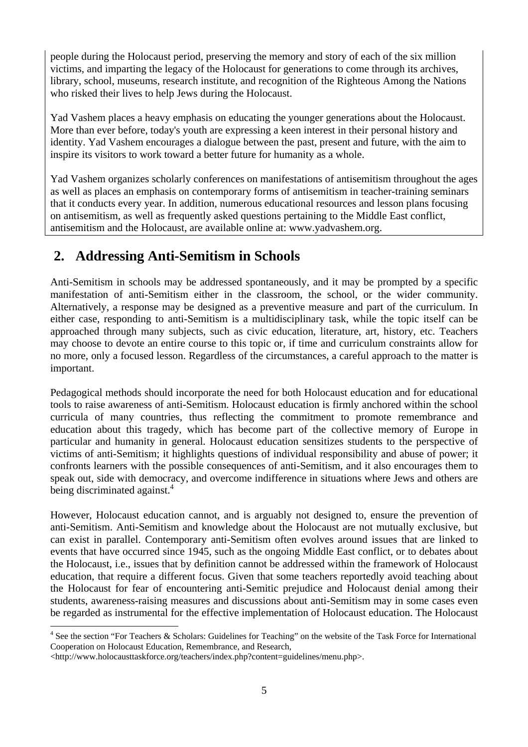<span id="page-4-0"></span>people during the Holocaust period, preserving the memory and story of each of the six million victims, and imparting the legacy of the Holocaust for generations to come through its archives, library, school, museums, research institute, and recognition of the Righteous Among the Nations who risked their lives to help Jews during the Holocaust.

Yad Vashem places a heavy emphasis on educating the younger generations about the Holocaust. More than ever before, today's youth are expressing a keen interest in their personal history and identity. Yad Vashem encourages a dialogue between the past, present and future, with the aim to inspire its visitors to work toward a better future for humanity as a whole.

Yad Vashem organizes scholarly conferences on manifestations of antisemitism throughout the ages as well as places an emphasis on contemporary forms of antisemitism in teacher-training seminars that it conducts every year. In addition, numerous educational resources and lesson plans focusing on antisemitism, as well as frequently asked questions pertaining to the Middle East conflict, antisemitism and the Holocaust, are available online at: www.yadvashem.org.

## **2. Addressing Anti-Semitism in Schools**

Anti-Semitism in schools may be addressed spontaneously, and it may be prompted by a specific manifestation of anti-Semitism either in the classroom, the school, or the wider community. Alternatively, a response may be designed as a preventive measure and part of the curriculum. In either case, responding to anti-Semitism is a multidisciplinary task, while the topic itself can be approached through many subjects, such as civic education, literature, art, history, etc. Teachers may choose to devote an entire course to this topic or, if time and curriculum constraints allow for no more, only a focused lesson. Regardless of the circumstances, a careful approach to the matter is important.

Pedagogical methods should incorporate the need for both Holocaust education and for educational tools to raise awareness of anti-Semitism. Holocaust education is firmly anchored within the school curricula of many countries, thus reflecting the commitment to promote remembrance and education about this tragedy, which has become part of the collective memory of Europe in particular and humanity in general. Holocaust education sensitizes students to the perspective of victims of anti-Semitism; it highlights questions of individual responsibility and abuse of power; it confronts learners with the possible consequences of anti-Semitism, and it also encourages them to speak out, side with democracy, and overcome indifference in situations where Jews and others are being discriminated against.<sup>[4](#page-4-1)</sup>

However, Holocaust education cannot, and is arguably not designed to, ensure the prevention of anti-Semitism. Anti-Semitism and knowledge about the Holocaust are not mutually exclusive, but can exist in parallel. Contemporary anti-Semitism often evolves around issues that are linked to events that have occurred since 1945, such as the ongoing Middle East conflict, or to debates about the Holocaust, i.e., issues that by definition cannot be addressed within the framework of Holocaust education, that require a different focus. Given that some teachers reportedly avoid teaching about the Holocaust for fear of encountering anti-Semitic prejudice and Holocaust denial among their students, awareness-raising measures and discussions about anti-Semitism may in some cases even be regarded as instrumental for the effective implementation of Holocaust education. The Holocaust

<span id="page-4-1"></span> $\overline{a}$ <sup>4</sup> See the section "For Teachers & Scholars: Guidelines for Teaching" on the website of the Task Force for International Cooperation on Holocaust Education, Remembrance, and Research,

<sup>&</sup>lt;http://www.holocausttaskforce.org/teachers/index.php?content=guidelines/menu.php>.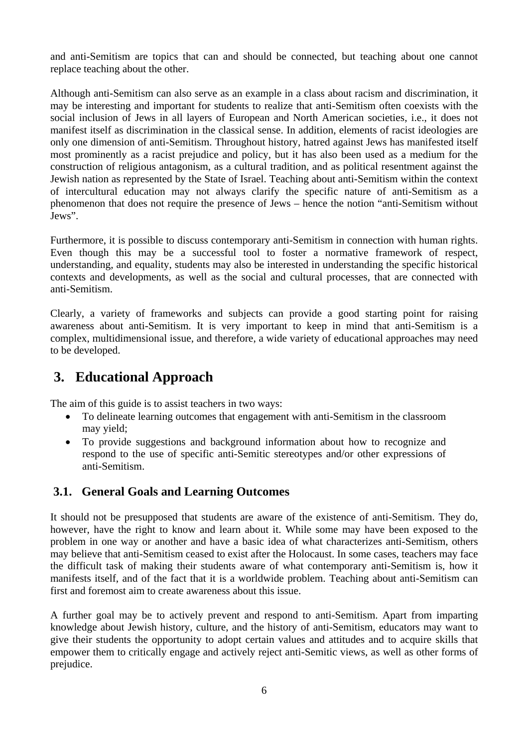<span id="page-5-0"></span>and anti-Semitism are topics that can and should be connected, but teaching about one cannot replace teaching about the other.

Although anti-Semitism can also serve as an example in a class about racism and discrimination, it may be interesting and important for students to realize that anti-Semitism often coexists with the social inclusion of Jews in all layers of European and North American societies, i.e., it does not manifest itself as discrimination in the classical sense. In addition, elements of racist ideologies are only one dimension of anti-Semitism. Throughout history, hatred against Jews has manifested itself most prominently as a racist prejudice and policy, but it has also been used as a medium for the construction of religious antagonism, as a cultural tradition, and as political resentment against the Jewish nation as represented by the State of Israel. Teaching about anti-Semitism within the context of intercultural education may not always clarify the specific nature of anti-Semitism as a phenomenon that does not require the presence of Jews – hence the notion "anti-Semitism without Jews".

Furthermore, it is possible to discuss contemporary anti-Semitism in connection with human rights. Even though this may be a successful tool to foster a normative framework of respect, understanding, and equality, students may also be interested in understanding the specific historical contexts and developments, as well as the social and cultural processes, that are connected with anti-Semitism.

Clearly, a variety of frameworks and subjects can provide a good starting point for raising awareness about anti-Semitism. It is very important to keep in mind that anti-Semitism is a complex, multidimensional issue, and therefore, a wide variety of educational approaches may need to be developed.

## **3. Educational Approach**

The aim of this guide is to assist teachers in two ways:

- To delineate learning outcomes that engagement with anti-Semitism in the classroom may yield;
- To provide suggestions and background information about how to recognize and respond to the use of specific anti-Semitic stereotypes and/or other expressions of anti-Semitism.

## **3.1. General Goals and Learning Outcomes**

It should not be presupposed that students are aware of the existence of anti-Semitism. They do, however, have the right to know and learn about it. While some may have been exposed to the problem in one way or another and have a basic idea of what characterizes anti-Semitism, others may believe that anti-Semitism ceased to exist after the Holocaust. In some cases, teachers may face the difficult task of making their students aware of what contemporary anti-Semitism is, how it manifests itself, and of the fact that it is a worldwide problem. Teaching about anti-Semitism can first and foremost aim to create awareness about this issue.

A further goal may be to actively prevent and respond to anti-Semitism. Apart from imparting knowledge about Jewish history, culture, and the history of anti-Semitism, educators may want to give their students the opportunity to adopt certain values and attitudes and to acquire skills that empower them to critically engage and actively reject anti-Semitic views, as well as other forms of prejudice.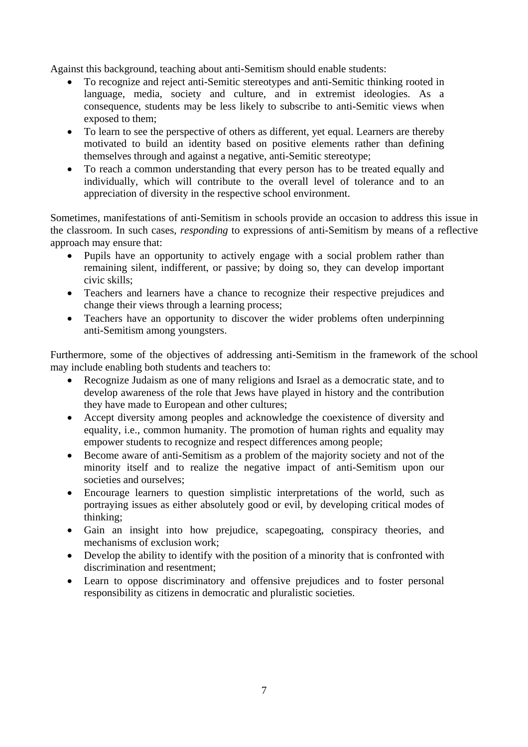Against this background, teaching about anti-Semitism should enable students:

- To recognize and reject anti-Semitic stereotypes and anti-Semitic thinking rooted in language, media, society and culture, and in extremist ideologies. As a consequence, students may be less likely to subscribe to anti-Semitic views when exposed to them;
- To learn to see the perspective of others as different, yet equal. Learners are thereby motivated to build an identity based on positive elements rather than defining themselves through and against a negative, anti-Semitic stereotype;
- To reach a common understanding that every person has to be treated equally and individually, which will contribute to the overall level of tolerance and to an appreciation of diversity in the respective school environment.

Sometimes, manifestations of anti-Semitism in schools provide an occasion to address this issue in the classroom. In such cases, *responding* to expressions of anti-Semitism by means of a reflective approach may ensure that:

- Pupils have an opportunity to actively engage with a social problem rather than remaining silent, indifferent, or passive; by doing so, they can develop important civic skills;
- Teachers and learners have a chance to recognize their respective prejudices and change their views through a learning process;
- Teachers have an opportunity to discover the wider problems often underpinning anti-Semitism among youngsters.

Furthermore, some of the objectives of addressing anti-Semitism in the framework of the school may include enabling both students and teachers to:

- Recognize Judaism as one of many religions and Israel as a democratic state, and to develop awareness of the role that Jews have played in history and the contribution they have made to European and other cultures;
- Accept diversity among peoples and acknowledge the coexistence of diversity and equality, i.e., common humanity. The promotion of human rights and equality may empower students to recognize and respect differences among people;
- Become aware of anti-Semitism as a problem of the majority society and not of the minority itself and to realize the negative impact of anti-Semitism upon our societies and ourselves;
- Encourage learners to question simplistic interpretations of the world, such as portraying issues as either absolutely good or evil, by developing critical modes of thinking;
- Gain an insight into how prejudice, scapegoating, conspiracy theories, and mechanisms of exclusion work;
- Develop the ability to identify with the position of a minority that is confronted with discrimination and resentment;
- Learn to oppose discriminatory and offensive prejudices and to foster personal responsibility as citizens in democratic and pluralistic societies.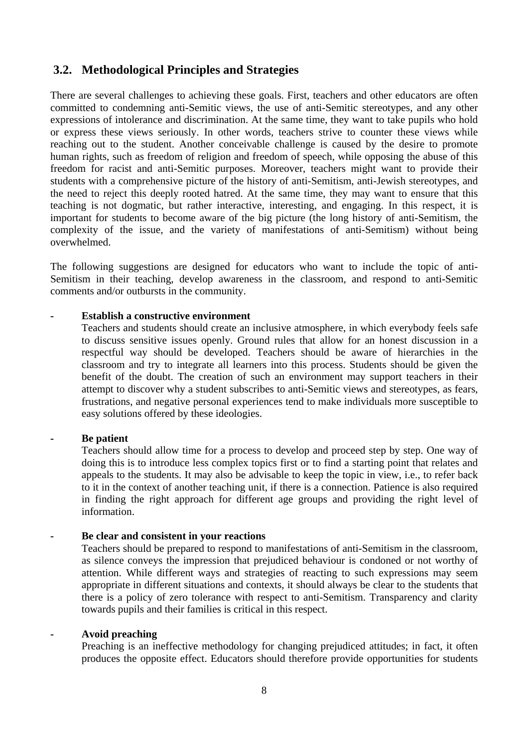## <span id="page-7-0"></span> **3.2. Methodological Principles and Strategies**

There are several challenges to achieving these goals. First, teachers and other educators are often committed to condemning anti-Semitic views, the use of anti-Semitic stereotypes, and any other expressions of intolerance and discrimination. At the same time, they want to take pupils who hold or express these views seriously. In other words, teachers strive to counter these views while reaching out to the student. Another conceivable challenge is caused by the desire to promote human rights, such as freedom of religion and freedom of speech, while opposing the abuse of this freedom for racist and anti-Semitic purposes. Moreover, teachers might want to provide their students with a comprehensive picture of the history of anti-Semitism, anti-Jewish stereotypes, and the need to reject this deeply rooted hatred. At the same time, they may want to ensure that this teaching is not dogmatic, but rather interactive, interesting, and engaging. In this respect, it is important for students to become aware of the big picture (the long history of anti-Semitism, the complexity of the issue, and the variety of manifestations of anti-Semitism) without being overwhelmed.

The following suggestions are designed for educators who want to include the topic of anti-Semitism in their teaching, develop awareness in the classroom, and respond to anti-Semitic comments and/or outbursts in the community.

#### **- Establish a constructive environment**

Teachers and students should create an inclusive atmosphere, in which everybody feels safe to discuss sensitive issues openly. Ground rules that allow for an honest discussion in a respectful way should be developed. Teachers should be aware of hierarchies in the classroom and try to integrate all learners into this process. Students should be given the benefit of the doubt. The creation of such an environment may support teachers in their attempt to discover why a student subscribes to anti-Semitic views and stereotypes, as fears, frustrations, and negative personal experiences tend to make individuals more susceptible to easy solutions offered by these ideologies.

#### **- Be patient**

Teachers should allow time for a process to develop and proceed step by step. One way of doing this is to introduce less complex topics first or to find a starting point that relates and appeals to the students. It may also be advisable to keep the topic in view, i.e., to refer back to it in the context of another teaching unit, if there is a connection. Patience is also required in finding the right approach for different age groups and providing the right level of information.

#### **- Be clear and consistent in your reactions**

Teachers should be prepared to respond to manifestations of anti-Semitism in the classroom, as silence conveys the impression that prejudiced behaviour is condoned or not worthy of attention. While different ways and strategies of reacting to such expressions may seem appropriate in different situations and contexts, it should always be clear to the students that there is a policy of zero tolerance with respect to anti-Semitism. Transparency and clarity towards pupils and their families is critical in this respect.

#### **- Avoid preaching**

Preaching is an ineffective methodology for changing prejudiced attitudes; in fact, it often produces the opposite effect. Educators should therefore provide opportunities for students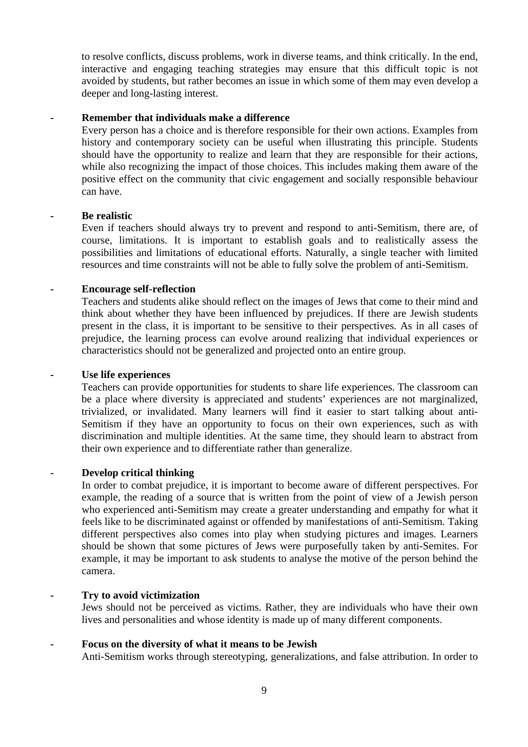to resolve conflicts, discuss problems, work in diverse teams, and think critically. In the end, interactive and engaging teaching strategies may ensure that this difficult topic is not avoided by students, but rather becomes an issue in which some of them may even develop a deeper and long-lasting interest.

#### **- Remember that individuals make a difference**

Every person has a choice and is therefore responsible for their own actions. Examples from history and contemporary society can be useful when illustrating this principle. Students should have the opportunity to realize and learn that they are responsible for their actions, while also recognizing the impact of those choices. This includes making them aware of the positive effect on the community that civic engagement and socially responsible behaviour can have.

#### **- Be realistic**

Even if teachers should always try to prevent and respond to anti-Semitism, there are, of course, limitations. It is important to establish goals and to realistically assess the possibilities and limitations of educational efforts. Naturally, a single teacher with limited resources and time constraints will not be able to fully solve the problem of anti-Semitism.

#### **- Encourage self-reflection**

Teachers and students alike should reflect on the images of Jews that come to their mind and think about whether they have been influenced by prejudices. If there are Jewish students present in the class, it is important to be sensitive to their perspectives. As in all cases of prejudice, the learning process can evolve around realizing that individual experiences or characteristics should not be generalized and projected onto an entire group.

#### **- Use life experiences**

Teachers can provide opportunities for students to share life experiences. The classroom can be a place where diversity is appreciated and students' experiences are not marginalized, trivialized, or invalidated. Many learners will find it easier to start talking about anti-Semitism if they have an opportunity to focus on their own experiences, such as with discrimination and multiple identities. At the same time, they should learn to abstract from their own experience and to differentiate rather than generalize.

#### **- Develop critical thinking**

In order to combat prejudice, it is important to become aware of different perspectives. For example, the reading of a source that is written from the point of view of a Jewish person who experienced anti-Semitism may create a greater understanding and empathy for what it feels like to be discriminated against or offended by manifestations of anti-Semitism. Taking different perspectives also comes into play when studying pictures and images. Learners should be shown that some pictures of Jews were purposefully taken by anti-Semites. For example, it may be important to ask students to analyse the motive of the person behind the camera.

#### **- Try to avoid victimization**

Jews should not be perceived as victims. Rather, they are individuals who have their own lives and personalities and whose identity is made up of many different components.

#### **- Focus on the diversity of what it means to be Jewish**

Anti-Semitism works through stereotyping, generalizations, and false attribution. In order to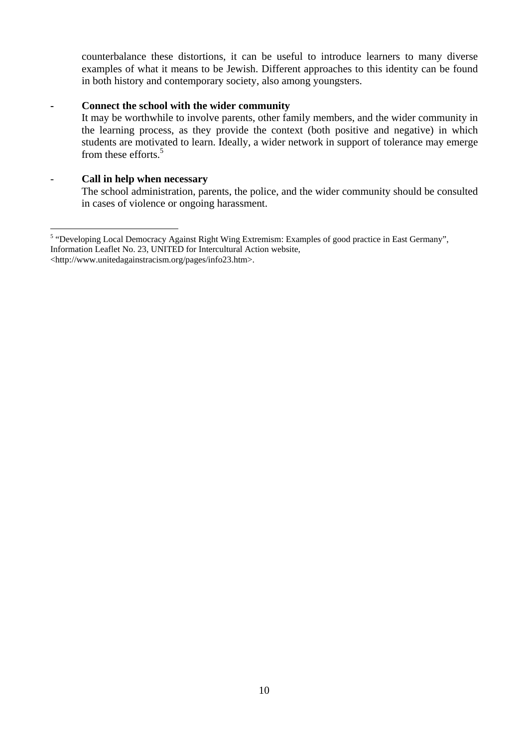counterbalance these distortions, it can be useful to introduce learners to many diverse examples of what it means to be Jewish. Different approaches to this identity can be found in both history and contemporary society, also among youngsters.

#### **- Connect the school with the wider community**

It may be worthwhile to involve parents, other family members, and the wider community in the learning process, as they provide the context (both positive and negative) in which students are motivated to learn. Ideally, a wider network in support of tolerance may emerge from these efforts.<sup>[5](#page-9-0)</sup>

#### - **Call in help when necessary**

 $\overline{a}$ 

The school administration, parents, the police, and the wider community should be consulted in cases of violence or ongoing harassment.

<span id="page-9-0"></span><sup>5</sup> "Developing Local Democracy Against Right Wing Extremism: Examples of good practice in East Germany", Information Leaflet No. 23, UNITED for Intercultural Action website,

<sup>&</sup>lt;http://www.unitedagainstracism.org/pages/info23.htm>.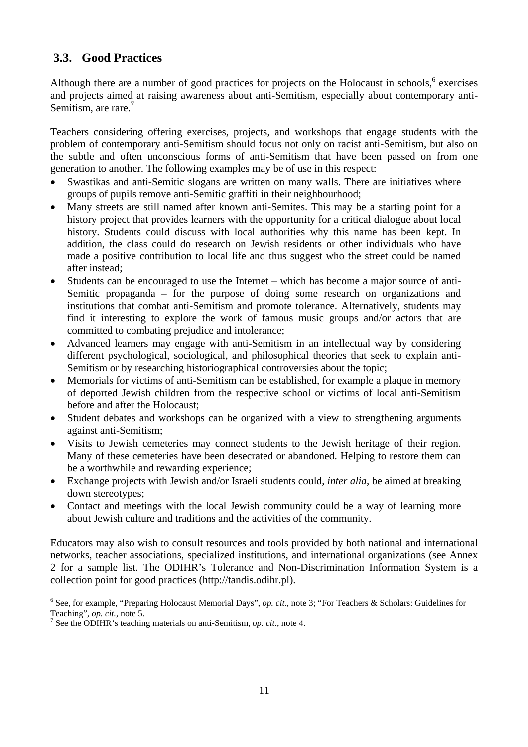## <span id="page-10-0"></span> **3.3. Good Practices**

Although there are a number of good practices for projects on the Holocaust in schools, $6$  exercises and projects aimed at raising awareness about anti-Semitism, especially about contemporary anti-Semitism, are rare.<sup>[7](#page-10-2)</sup>

Teachers considering offering exercises, projects, and workshops that engage students with the problem of contemporary anti-Semitism should focus not only on racist anti-Semitism, but also on the subtle and often unconscious forms of anti-Semitism that have been passed on from one generation to another. The following examples may be of use in this respect:

- Swastikas and anti-Semitic slogans are written on many walls. There are initiatives where groups of pupils remove anti-Semitic graffiti in their neighbourhood;
- Many streets are still named after known anti-Semites. This may be a starting point for a history project that provides learners with the opportunity for a critical dialogue about local history. Students could discuss with local authorities why this name has been kept. In addition, the class could do research on Jewish residents or other individuals who have made a positive contribution to local life and thus suggest who the street could be named after instead;
- Students can be encouraged to use the Internet which has become a major source of anti-Semitic propaganda – for the purpose of doing some research on organizations and institutions that combat anti-Semitism and promote tolerance. Alternatively, students may find it interesting to explore the work of famous music groups and/or actors that are committed to combating prejudice and intolerance;
- Advanced learners may engage with anti-Semitism in an intellectual way by considering different psychological, sociological, and philosophical theories that seek to explain anti-Semitism or by researching historiographical controversies about the topic;
- Memorials for victims of anti-Semitism can be established, for example a plaque in memory of deported Jewish children from the respective school or victims of local anti-Semitism before and after the Holocaust;
- Student debates and workshops can be organized with a view to strengthening arguments against anti-Semitism;
- Visits to Jewish cemeteries may connect students to the Jewish heritage of their region. Many of these cemeteries have been desecrated or abandoned. Helping to restore them can be a worthwhile and rewarding experience;
- Exchange projects with Jewish and/or Israeli students could, *inter alia*, be aimed at breaking down stereotypes;
- Contact and meetings with the local Jewish community could be a way of learning more about Jewish culture and traditions and the activities of the community.

Educators may also wish to consult resources and tools provided by both national and international networks, teacher associations, specialized institutions, and international organizations (see Annex 2 for a sample list. The ODIHR's Tolerance and Non-Discrimination Information System is a collection point for good practices (http://tandis.odihr.pl).

 $\overline{a}$ 

<span id="page-10-1"></span><sup>6</sup> See, for example, "Preparing Holocaust Memorial Days", *op. cit.*, note 3; "For Teachers & Scholars: Guidelines for Teaching", *op. cit.*, note 5. 7

<span id="page-10-2"></span> $\frac{7}{7}$  See the ODIHR's teaching materials on anti-Semitism, *op. cit.*, note 4.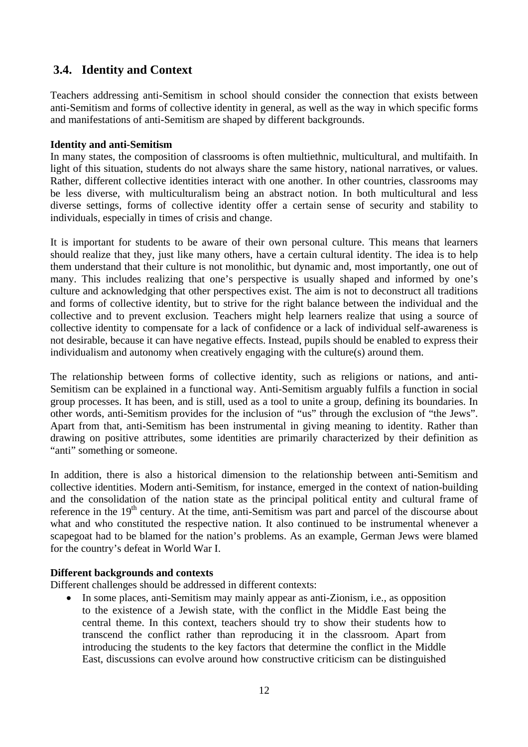## <span id="page-11-0"></span> **3.4. Identity and Context**

Teachers addressing anti-Semitism in school should consider the connection that exists between anti-Semitism and forms of collective identity in general, as well as the way in which specific forms and manifestations of anti-Semitism are shaped by different backgrounds.

#### **Identity and anti-Semitism**

In many states, the composition of classrooms is often multiethnic, multicultural, and multifaith. In light of this situation, students do not always share the same history, national narratives, or values. Rather, different collective identities interact with one another. In other countries, classrooms may be less diverse, with multiculturalism being an abstract notion. In both multicultural and less diverse settings, forms of collective identity offer a certain sense of security and stability to individuals, especially in times of crisis and change.

It is important for students to be aware of their own personal culture. This means that learners should realize that they, just like many others, have a certain cultural identity. The idea is to help them understand that their culture is not monolithic, but dynamic and, most importantly, one out of many. This includes realizing that one's perspective is usually shaped and informed by one's culture and acknowledging that other perspectives exist. The aim is not to deconstruct all traditions and forms of collective identity, but to strive for the right balance between the individual and the collective and to prevent exclusion. Teachers might help learners realize that using a source of collective identity to compensate for a lack of confidence or a lack of individual self-awareness is not desirable, because it can have negative effects. Instead, pupils should be enabled to express their individualism and autonomy when creatively engaging with the culture(s) around them.

The relationship between forms of collective identity, such as religions or nations, and anti-Semitism can be explained in a functional way. Anti-Semitism arguably fulfils a function in social group processes. It has been, and is still, used as a tool to unite a group, defining its boundaries. In other words, anti-Semitism provides for the inclusion of "us" through the exclusion of "the Jews". Apart from that, anti-Semitism has been instrumental in giving meaning to identity. Rather than drawing on positive attributes, some identities are primarily characterized by their definition as "anti" something or someone.

In addition, there is also a historical dimension to the relationship between anti-Semitism and collective identities. Modern anti-Semitism, for instance, emerged in the context of nation-building and the consolidation of the nation state as the principal political entity and cultural frame of reference in the 19<sup>th</sup> century. At the time, anti-Semitism was part and parcel of the discourse about what and who constituted the respective nation. It also continued to be instrumental whenever a scapegoat had to be blamed for the nation's problems. As an example, German Jews were blamed for the country's defeat in World War I.

#### **Different backgrounds and contexts**

Different challenges should be addressed in different contexts:

• In some places, anti-Semitism may mainly appear as anti-Zionism, i.e., as opposition to the existence of a Jewish state, with the conflict in the Middle East being the central theme. In this context, teachers should try to show their students how to transcend the conflict rather than reproducing it in the classroom. Apart from introducing the students to the key factors that determine the conflict in the Middle East, discussions can evolve around how constructive criticism can be distinguished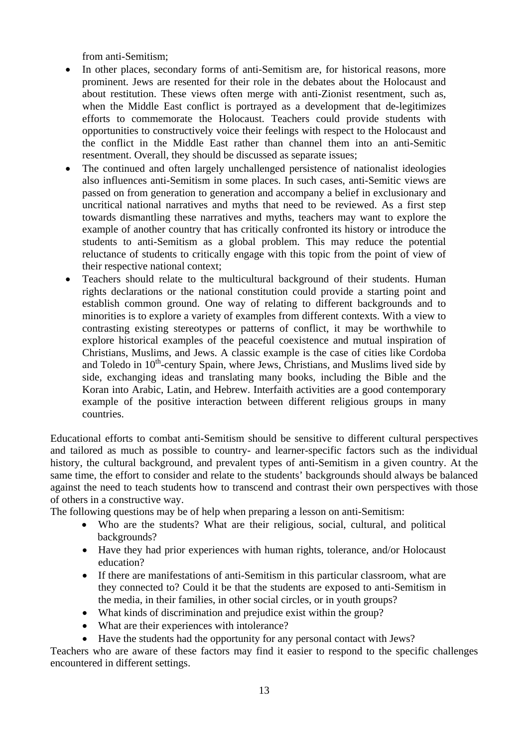from anti-Semitism;

- In other places, secondary forms of anti-Semitism are, for historical reasons, more prominent. Jews are resented for their role in the debates about the Holocaust and about restitution. These views often merge with anti-Zionist resentment, such as, when the Middle East conflict is portrayed as a development that de-legitimizes efforts to commemorate the Holocaust. Teachers could provide students with opportunities to constructively voice their feelings with respect to the Holocaust and the conflict in the Middle East rather than channel them into an anti-Semitic resentment. Overall, they should be discussed as separate issues;
- The continued and often largely unchallenged persistence of nationalist ideologies also influences anti-Semitism in some places. In such cases, anti-Semitic views are passed on from generation to generation and accompany a belief in exclusionary and uncritical national narratives and myths that need to be reviewed. As a first step towards dismantling these narratives and myths, teachers may want to explore the example of another country that has critically confronted its history or introduce the students to anti-Semitism as a global problem. This may reduce the potential reluctance of students to critically engage with this topic from the point of view of their respective national context;
- Teachers should relate to the multicultural background of their students. Human rights declarations or the national constitution could provide a starting point and establish common ground. One way of relating to different backgrounds and to minorities is to explore a variety of examples from different contexts. With a view to contrasting existing stereotypes or patterns of conflict, it may be worthwhile to explore historical examples of the peaceful coexistence and mutual inspiration of Christians, Muslims, and Jews. A classic example is the case of cities like Cordoba and Toledo in  $10<sup>th</sup>$ -century Spain, where Jews, Christians, and Muslims lived side by side, exchanging ideas and translating many books, including the Bible and the Koran into Arabic, Latin, and Hebrew. Interfaith activities are a good contemporary example of the positive interaction between different religious groups in many countries.

Educational efforts to combat anti-Semitism should be sensitive to different cultural perspectives and tailored as much as possible to country- and learner-specific factors such as the individual history, the cultural background, and prevalent types of anti-Semitism in a given country. At the same time, the effort to consider and relate to the students' backgrounds should always be balanced against the need to teach students how to transcend and contrast their own perspectives with those of others in a constructive way.

The following questions may be of help when preparing a lesson on anti-Semitism:

- Who are the students? What are their religious, social, cultural, and political backgrounds?
- Have they had prior experiences with human rights, tolerance, and/or Holocaust education?
- If there are manifestations of anti-Semitism in this particular classroom, what are they connected to? Could it be that the students are exposed to anti-Semitism in the media, in their families, in other social circles, or in youth groups?
- What kinds of discrimination and prejudice exist within the group?
- What are their experiences with intolerance?
- Have the students had the opportunity for any personal contact with Jews?

Teachers who are aware of these factors may find it easier to respond to the specific challenges encountered in different settings.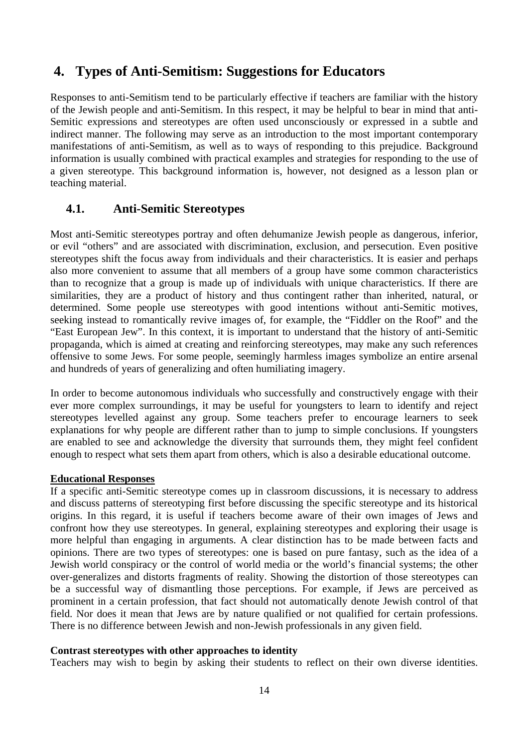## <span id="page-13-0"></span> **4. Types of Anti-Semitism: Suggestions for Educators**

Responses to anti-Semitism tend to be particularly effective if teachers are familiar with the history of the Jewish people and anti-Semitism. In this respect, it may be helpful to bear in mind that anti-Semitic expressions and stereotypes are often used unconsciously or expressed in a subtle and indirect manner. The following may serve as an introduction to the most important contemporary manifestations of anti-Semitism, as well as to ways of responding to this prejudice. Background information is usually combined with practical examples and strategies for responding to the use of a given stereotype. This background information is, however, not designed as a lesson plan or teaching material.

## **4.1. Anti-Semitic Stereotypes**

Most anti-Semitic stereotypes portray and often dehumanize Jewish people as dangerous, inferior, or evil "others" and are associated with discrimination, exclusion, and persecution. Even positive stereotypes shift the focus away from individuals and their characteristics. It is easier and perhaps also more convenient to assume that all members of a group have some common characteristics than to recognize that a group is made up of individuals with unique characteristics. If there are similarities, they are a product of history and thus contingent rather than inherited, natural, or determined. Some people use stereotypes with good intentions without anti-Semitic motives, seeking instead to romantically revive images of, for example, the "Fiddler on the Roof" and the "East European Jew". In this context, it is important to understand that the history of anti-Semitic propaganda, which is aimed at creating and reinforcing stereotypes, may make any such references offensive to some Jews. For some people, seemingly harmless images symbolize an entire arsenal and hundreds of years of generalizing and often humiliating imagery.

In order to become autonomous individuals who successfully and constructively engage with their ever more complex surroundings, it may be useful for youngsters to learn to identify and reject stereotypes levelled against any group. Some teachers prefer to encourage learners to seek explanations for why people are different rather than to jump to simple conclusions. If youngsters are enabled to see and acknowledge the diversity that surrounds them, they might feel confident enough to respect what sets them apart from others, which is also a desirable educational outcome.

#### **Educational Responses**

If a specific anti-Semitic stereotype comes up in classroom discussions, it is necessary to address and discuss patterns of stereotyping first before discussing the specific stereotype and its historical origins. In this regard, it is useful if teachers become aware of their own images of Jews and confront how they use stereotypes. In general, explaining stereotypes and exploring their usage is more helpful than engaging in arguments. A clear distinction has to be made between facts and opinions. There are two types of stereotypes: one is based on pure fantasy, such as the idea of a Jewish world conspiracy or the control of world media or the world's financial systems; the other over-generalizes and distorts fragments of reality. Showing the distortion of those stereotypes can be a successful way of dismantling those perceptions. For example, if Jews are perceived as prominent in a certain profession, that fact should not automatically denote Jewish control of that field. Nor does it mean that Jews are by nature qualified or not qualified for certain professions. There is no difference between Jewish and non-Jewish professionals in any given field.

#### **Contrast stereotypes with other approaches to identity**

Teachers may wish to begin by asking their students to reflect on their own diverse identities.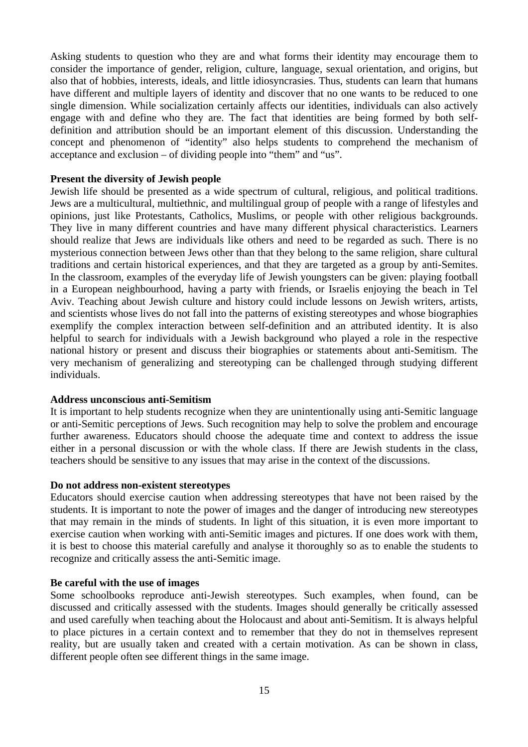Asking students to question who they are and what forms their identity may encourage them to consider the importance of gender, religion, culture, language, sexual orientation, and origins, but also that of hobbies, interests, ideals, and little idiosyncrasies. Thus, students can learn that humans have different and multiple layers of identity and discover that no one wants to be reduced to one single dimension. While socialization certainly affects our identities, individuals can also actively engage with and define who they are. The fact that identities are being formed by both selfdefinition and attribution should be an important element of this discussion. Understanding the concept and phenomenon of "identity" also helps students to comprehend the mechanism of acceptance and exclusion – of dividing people into "them" and "us".

#### **Present the diversity of Jewish people**

Jewish life should be presented as a wide spectrum of cultural, religious, and political traditions. Jews are a multicultural, multiethnic, and multilingual group of people with a range of lifestyles and opinions, just like Protestants, Catholics, Muslims, or people with other religious backgrounds. They live in many different countries and have many different physical characteristics. Learners should realize that Jews are individuals like others and need to be regarded as such. There is no mysterious connection between Jews other than that they belong to the same religion, share cultural traditions and certain historical experiences, and that they are targeted as a group by anti-Semites. In the classroom, examples of the everyday life of Jewish youngsters can be given: playing football in a European neighbourhood, having a party with friends, or Israelis enjoying the beach in Tel Aviv. Teaching about Jewish culture and history could include lessons on Jewish writers, artists, and scientists whose lives do not fall into the patterns of existing stereotypes and whose biographies exemplify the complex interaction between self-definition and an attributed identity. It is also helpful to search for individuals with a Jewish background who played a role in the respective national history or present and discuss their biographies or statements about anti-Semitism. The very mechanism of generalizing and stereotyping can be challenged through studying different individuals.

#### **Address unconscious anti-Semitism**

It is important to help students recognize when they are unintentionally using anti-Semitic language or anti-Semitic perceptions of Jews. Such recognition may help to solve the problem and encourage further awareness. Educators should choose the adequate time and context to address the issue either in a personal discussion or with the whole class. If there are Jewish students in the class, teachers should be sensitive to any issues that may arise in the context of the discussions.

#### **Do not address non-existent stereotypes**

Educators should exercise caution when addressing stereotypes that have not been raised by the students. It is important to note the power of images and the danger of introducing new stereotypes that may remain in the minds of students. In light of this situation, it is even more important to exercise caution when working with anti-Semitic images and pictures. If one does work with them, it is best to choose this material carefully and analyse it thoroughly so as to enable the students to recognize and critically assess the anti-Semitic image.

#### **Be careful with the use of images**

Some schoolbooks reproduce anti-Jewish stereotypes. Such examples, when found, can be discussed and critically assessed with the students. Images should generally be critically assessed and used carefully when teaching about the Holocaust and about anti-Semitism. It is always helpful to place pictures in a certain context and to remember that they do not in themselves represent reality, but are usually taken and created with a certain motivation. As can be shown in class, different people often see different things in the same image.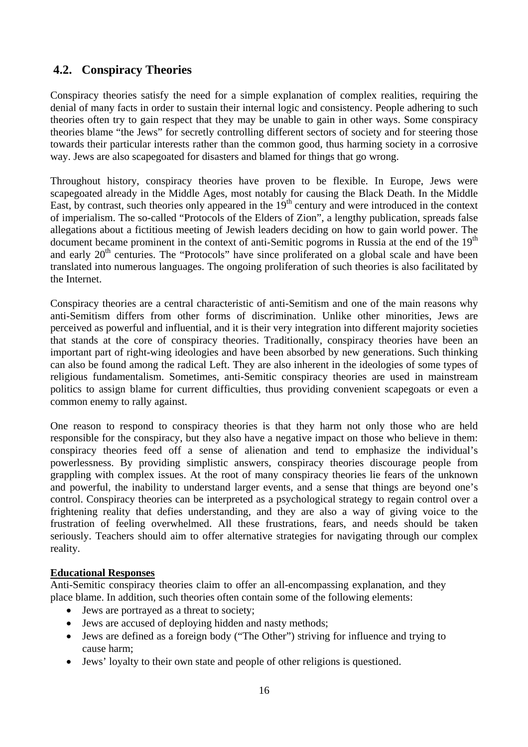## <span id="page-15-0"></span> **4.2. Conspiracy Theories**

Conspiracy theories satisfy the need for a simple explanation of complex realities, requiring the denial of many facts in order to sustain their internal logic and consistency. People adhering to such theories often try to gain respect that they may be unable to gain in other ways. Some conspiracy theories blame "the Jews" for secretly controlling different sectors of society and for steering those towards their particular interests rather than the common good, thus harming society in a corrosive way. Jews are also scapegoated for disasters and blamed for things that go wrong.

Throughout history, conspiracy theories have proven to be flexible. In Europe, Jews were scapegoated already in the Middle Ages, most notably for causing the Black Death. In the Middle East, by contrast, such theories only appeared in the  $19<sup>th</sup>$  century and were introduced in the context of imperialism. The so-called "Protocols of the Elders of Zion", a lengthy publication, spreads false allegations about a fictitious meeting of Jewish leaders deciding on how to gain world power. The document became prominent in the context of anti-Semitic pogroms in Russia at the end of the 19<sup>th</sup> and early  $20<sup>th</sup>$  centuries. The "Protocols" have since proliferated on a global scale and have been translated into numerous languages. The ongoing proliferation of such theories is also facilitated by the Internet.

Conspiracy theories are a central characteristic of anti-Semitism and one of the main reasons why anti-Semitism differs from other forms of discrimination. Unlike other minorities, Jews are perceived as powerful and influential, and it is their very integration into different majority societies that stands at the core of conspiracy theories. Traditionally, conspiracy theories have been an important part of right-wing ideologies and have been absorbed by new generations. Such thinking can also be found among the radical Left. They are also inherent in the ideologies of some types of religious fundamentalism. Sometimes, anti-Semitic conspiracy theories are used in mainstream politics to assign blame for current difficulties, thus providing convenient scapegoats or even a common enemy to rally against.

One reason to respond to conspiracy theories is that they harm not only those who are held responsible for the conspiracy, but they also have a negative impact on those who believe in them: conspiracy theories feed off a sense of alienation and tend to emphasize the individual's powerlessness. By providing simplistic answers, conspiracy theories discourage people from grappling with complex issues. At the root of many conspiracy theories lie fears of the unknown and powerful, the inability to understand larger events, and a sense that things are beyond one's control. Conspiracy theories can be interpreted as a psychological strategy to regain control over a frightening reality that defies understanding, and they are also a way of giving voice to the frustration of feeling overwhelmed. All these frustrations, fears, and needs should be taken seriously. Teachers should aim to offer alternative strategies for navigating through our complex reality.

#### **Educational Responses**

Anti-Semitic conspiracy theories claim to offer an all-encompassing explanation, and they place blame. In addition, such theories often contain some of the following elements:

- Jews are portrayed as a threat to society;
- Jews are accused of deploying hidden and nasty methods;
- Jews are defined as a foreign body ("The Other") striving for influence and trying to cause harm;
- Jews' loyalty to their own state and people of other religions is questioned.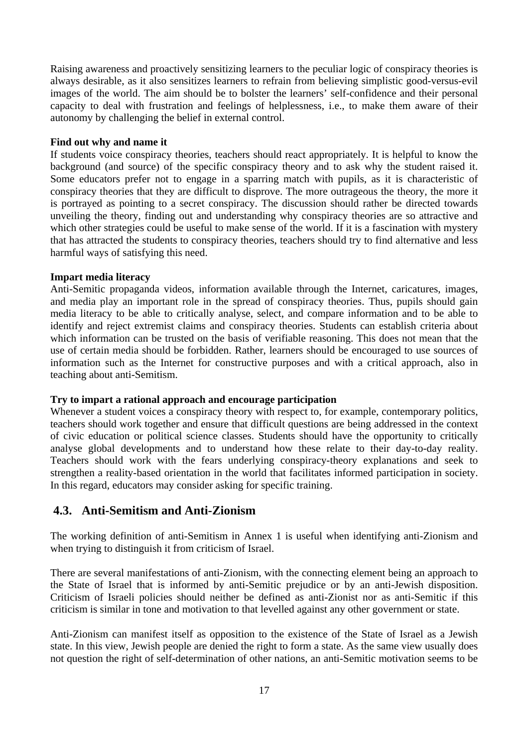<span id="page-16-0"></span>Raising awareness and proactively sensitizing learners to the peculiar logic of conspiracy theories is always desirable, as it also sensitizes learners to refrain from believing simplistic good-versus-evil images of the world. The aim should be to bolster the learners' self-confidence and their personal capacity to deal with frustration and feelings of helplessness, i.e., to make them aware of their autonomy by challenging the belief in external control.

#### **Find out why and name it**

If students voice conspiracy theories, teachers should react appropriately. It is helpful to know the background (and source) of the specific conspiracy theory and to ask why the student raised it. Some educators prefer not to engage in a sparring match with pupils, as it is characteristic of conspiracy theories that they are difficult to disprove. The more outrageous the theory, the more it is portrayed as pointing to a secret conspiracy. The discussion should rather be directed towards unveiling the theory, finding out and understanding why conspiracy theories are so attractive and which other strategies could be useful to make sense of the world. If it is a fascination with mystery that has attracted the students to conspiracy theories, teachers should try to find alternative and less harmful ways of satisfying this need.

#### **Impart media literacy**

Anti-Semitic propaganda videos, information available through the Internet, caricatures, images, and media play an important role in the spread of conspiracy theories. Thus, pupils should gain media literacy to be able to critically analyse, select, and compare information and to be able to identify and reject extremist claims and conspiracy theories. Students can establish criteria about which information can be trusted on the basis of verifiable reasoning. This does not mean that the use of certain media should be forbidden. Rather, learners should be encouraged to use sources of information such as the Internet for constructive purposes and with a critical approach, also in teaching about anti-Semitism.

#### **Try to impart a rational approach and encourage participation**

Whenever a student voices a conspiracy theory with respect to, for example, contemporary politics, teachers should work together and ensure that difficult questions are being addressed in the context of civic education or political science classes. Students should have the opportunity to critically analyse global developments and to understand how these relate to their day-to-day reality. Teachers should work with the fears underlying conspiracy-theory explanations and seek to strengthen a reality-based orientation in the world that facilitates informed participation in society. In this regard, educators may consider asking for specific training.

## **4.3. Anti-Semitism and Anti-Zionism**

The working definition of anti-Semitism in Annex 1 is useful when identifying anti-Zionism and when trying to distinguish it from criticism of Israel.

There are several manifestations of anti-Zionism, with the connecting element being an approach to the State of Israel that is informed by anti-Semitic prejudice or by an anti-Jewish disposition. Criticism of Israeli policies should neither be defined as anti-Zionist nor as anti-Semitic if this criticism is similar in tone and motivation to that levelled against any other government or state.

Anti-Zionism can manifest itself as opposition to the existence of the State of Israel as a Jewish state. In this view, Jewish people are denied the right to form a state. As the same view usually does not question the right of self-determination of other nations, an anti-Semitic motivation seems to be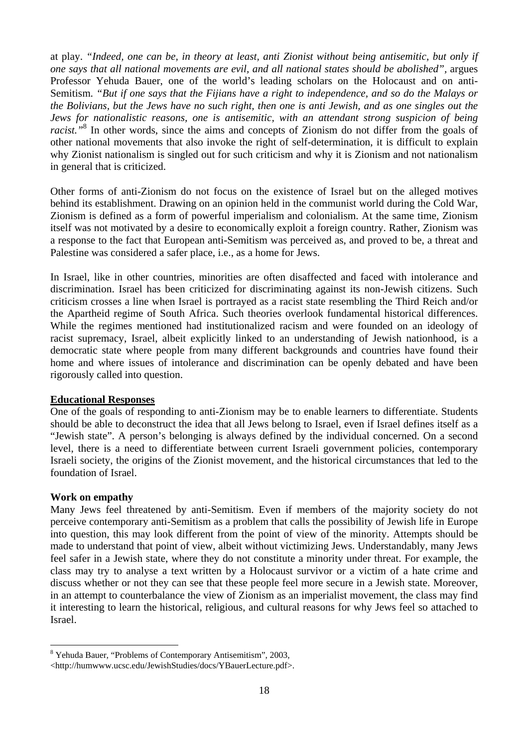at play. *"Indeed, one can be, in theory at least, anti Zionist without being antisemitic, but only if one says that all national movements are evil, and all national states should be abolished", argues* Professor Yehuda Bauer, one of the world's leading scholars on the Holocaust and on anti-Semitism. *"But if one says that the Fijians have a right to independence, and so do the Malays or the Bolivians, but the Jews have no such right, then one is anti Jewish, and as one singles out the Jews for nationalistic reasons, one is antisemitic, with an attendant strong suspicion of being*  racist.<sup>"[8](#page-17-0)</sup> In other words, since the aims and concepts of Zionism do not differ from the goals of other national movements that also invoke the right of self-determination, it is difficult to explain why Zionist nationalism is singled out for such criticism and why it is Zionism and not nationalism in general that is criticized.

Other forms of anti-Zionism do not focus on the existence of Israel but on the alleged motives behind its establishment. Drawing on an opinion held in the communist world during the Cold War, Zionism is defined as a form of powerful imperialism and colonialism. At the same time, Zionism itself was not motivated by a desire to economically exploit a foreign country. Rather, Zionism was a response to the fact that European anti-Semitism was perceived as, and proved to be, a threat and Palestine was considered a safer place, i.e., as a home for Jews.

In Israel, like in other countries, minorities are often disaffected and faced with intolerance and discrimination. Israel has been criticized for discriminating against its non-Jewish citizens. Such criticism crosses a line when Israel is portrayed as a racist state resembling the Third Reich and/or the Apartheid regime of South Africa. Such theories overlook fundamental historical differences. While the regimes mentioned had institutionalized racism and were founded on an ideology of racist supremacy, Israel, albeit explicitly linked to an understanding of Jewish nationhood, is a democratic state where people from many different backgrounds and countries have found their home and where issues of intolerance and discrimination can be openly debated and have been rigorously called into question.

#### **Educational Responses**

One of the goals of responding to anti-Zionism may be to enable learners to differentiate. Students should be able to deconstruct the idea that all Jews belong to Israel, even if Israel defines itself as a "Jewish state". A person's belonging is always defined by the individual concerned. On a second level, there is a need to differentiate between current Israeli government policies, contemporary Israeli society, the origins of the Zionist movement, and the historical circumstances that led to the foundation of Israel.

#### **Work on empathy**

 $\overline{a}$ 

Many Jews feel threatened by anti-Semitism. Even if members of the majority society do not perceive contemporary anti-Semitism as a problem that calls the possibility of Jewish life in Europe into question, this may look different from the point of view of the minority. Attempts should be made to understand that point of view, albeit without victimizing Jews. Understandably, many Jews feel safer in a Jewish state, where they do not constitute a minority under threat. For example, the class may try to analyse a text written by a Holocaust survivor or a victim of a hate crime and discuss whether or not they can see that these people feel more secure in a Jewish state. Moreover, in an attempt to counterbalance the view of Zionism as an imperialist movement, the class may find it interesting to learn the historical, religious, and cultural reasons for why Jews feel so attached to Israel.

<span id="page-17-0"></span><sup>&</sup>lt;sup>8</sup> Yehuda Bauer, "Problems of Contemporary Antisemitism", 2003,

<sup>&</sup>lt;http://humwww.ucsc.edu/JewishStudies/docs/YBauerLecture.pdf>.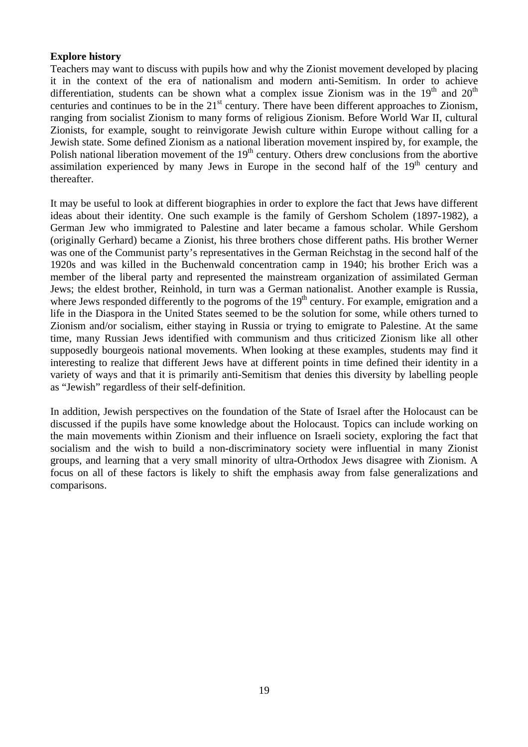#### **Explore history**

Teachers may want to discuss with pupils how and why the Zionist movement developed by placing it in the context of the era of nationalism and modern anti-Semitism. In order to achieve differentiation, students can be shown what a complex issue Zionism was in the  $19<sup>th</sup>$  and  $20<sup>th</sup>$ centuries and continues to be in the  $21<sup>st</sup>$  century. There have been different approaches to Zionism, ranging from socialist Zionism to many forms of religious Zionism. Before World War II, cultural Zionists, for example, sought to reinvigorate Jewish culture within Europe without calling for a Jewish state. Some defined Zionism as a national liberation movement inspired by, for example, the Polish national liberation movement of the  $19<sup>th</sup>$  century. Others drew conclusions from the abortive assimilation experienced by many Jews in Europe in the second half of the  $19<sup>th</sup>$  century and thereafter.

It may be useful to look at different biographies in order to explore the fact that Jews have different ideas about their identity. One such example is the family of Gershom Scholem (1897-1982), a German Jew who immigrated to Palestine and later became a famous scholar. While Gershom (originally Gerhard) became a Zionist, his three brothers chose different paths. His brother Werner was one of the Communist party's representatives in the German Reichstag in the second half of the 1920s and was killed in the Buchenwald concentration camp in 1940; his brother Erich was a member of the liberal party and represented the mainstream organization of assimilated German Jews; the eldest brother, Reinhold, in turn was a German nationalist. Another example is Russia, where Jews responded differently to the pogroms of the  $19<sup>th</sup>$  century. For example, emigration and a life in the Diaspora in the United States seemed to be the solution for some, while others turned to Zionism and/or socialism, either staying in Russia or trying to emigrate to Palestine. At the same time, many Russian Jews identified with communism and thus criticized Zionism like all other supposedly bourgeois national movements. When looking at these examples, students may find it interesting to realize that different Jews have at different points in time defined their identity in a variety of ways and that it is primarily anti-Semitism that denies this diversity by labelling people as "Jewish" regardless of their self-definition.

In addition, Jewish perspectives on the foundation of the State of Israel after the Holocaust can be discussed if the pupils have some knowledge about the Holocaust. Topics can include working on the main movements within Zionism and their influence on Israeli society, exploring the fact that socialism and the wish to build a non-discriminatory society were influential in many Zionist groups, and learning that a very small minority of ultra-Orthodox Jews disagree with Zionism. A focus on all of these factors is likely to shift the emphasis away from false generalizations and comparisons.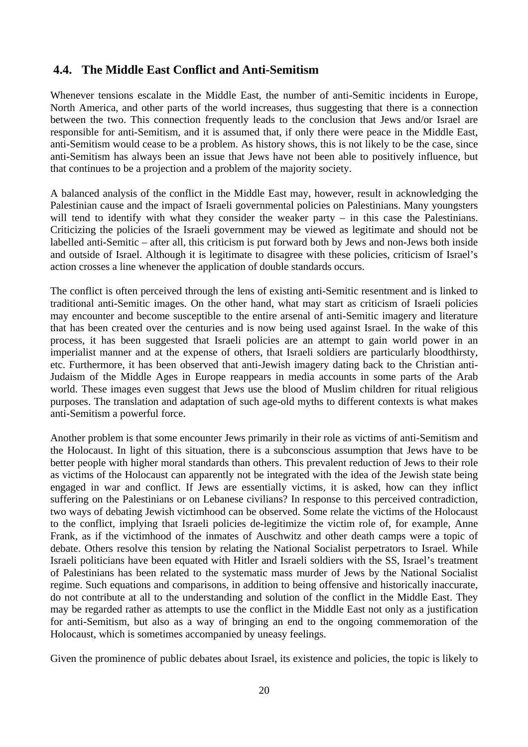## <span id="page-19-0"></span> **4.4. The Middle East Conflict and Anti-Semitism**

Whenever tensions escalate in the Middle East, the number of anti-Semitic incidents in Europe, North America, and other parts of the world increases, thus suggesting that there is a connection between the two. This connection frequently leads to the conclusion that Jews and/or Israel are responsible for anti-Semitism, and it is assumed that, if only there were peace in the Middle East, anti-Semitism would cease to be a problem. As history shows, this is not likely to be the case, since anti-Semitism has always been an issue that Jews have not been able to positively influence, but that continues to be a projection and a problem of the majority society.

A balanced analysis of the conflict in the Middle East may, however, result in acknowledging the Palestinian cause and the impact of Israeli governmental policies on Palestinians. Many youngsters will tend to identify with what they consider the weaker party – in this case the Palestinians. Criticizing the policies of the Israeli government may be viewed as legitimate and should not be labelled anti-Semitic – after all, this criticism is put forward both by Jews and non-Jews both inside and outside of Israel. Although it is legitimate to disagree with these policies, criticism of Israel's action crosses a line whenever the application of double standards occurs.

The conflict is often perceived through the lens of existing anti-Semitic resentment and is linked to traditional anti-Semitic images. On the other hand, what may start as criticism of Israeli policies may encounter and become susceptible to the entire arsenal of anti-Semitic imagery and literature that has been created over the centuries and is now being used against Israel. In the wake of this process, it has been suggested that Israeli policies are an attempt to gain world power in an imperialist manner and at the expense of others, that Israeli soldiers are particularly bloodthirsty, etc. Furthermore, it has been observed that anti-Jewish imagery dating back to the Christian anti-Judaism of the Middle Ages in Europe reappears in media accounts in some parts of the Arab world. These images even suggest that Jews use the blood of Muslim children for ritual religious purposes. The translation and adaptation of such age-old myths to different contexts is what makes anti-Semitism a powerful force.

Another problem is that some encounter Jews primarily in their role as victims of anti-Semitism and the Holocaust. In light of this situation, there is a subconscious assumption that Jews have to be better people with higher moral standards than others. This prevalent reduction of Jews to their role as victims of the Holocaust can apparently not be integrated with the idea of the Jewish state being engaged in war and conflict. If Jews are essentially victims, it is asked, how can they inflict suffering on the Palestinians or on Lebanese civilians? In response to this perceived contradiction, two ways of debating Jewish victimhood can be observed. Some relate the victims of the Holocaust to the conflict, implying that Israeli policies de-legitimize the victim role of, for example, Anne Frank, as if the victimhood of the inmates of Auschwitz and other death camps were a topic of debate. Others resolve this tension by relating the National Socialist perpetrators to Israel. While Israeli politicians have been equated with Hitler and Israeli soldiers with the SS, Israel's treatment of Palestinians has been related to the systematic mass murder of Jews by the National Socialist regime. Such equations and comparisons, in addition to being offensive and historically inaccurate, do not contribute at all to the understanding and solution of the conflict in the Middle East. They may be regarded rather as attempts to use the conflict in the Middle East not only as a justification for anti-Semitism, but also as a way of bringing an end to the ongoing commemoration of the Holocaust, which is sometimes accompanied by uneasy feelings.

Given the prominence of public debates about Israel, its existence and policies, the topic is likely to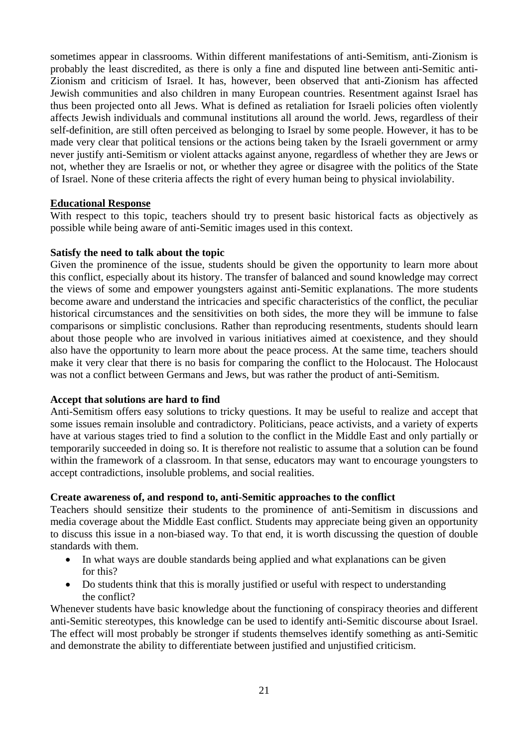sometimes appear in classrooms. Within different manifestations of anti-Semitism, anti-Zionism is probably the least discredited, as there is only a fine and disputed line between anti-Semitic anti-Zionism and criticism of Israel. It has, however, been observed that anti-Zionism has affected Jewish communities and also children in many European countries. Resentment against Israel has thus been projected onto all Jews. What is defined as retaliation for Israeli policies often violently affects Jewish individuals and communal institutions all around the world. Jews, regardless of their self-definition, are still often perceived as belonging to Israel by some people. However, it has to be made very clear that political tensions or the actions being taken by the Israeli government or army never justify anti-Semitism or violent attacks against anyone, regardless of whether they are Jews or not, whether they are Israelis or not, or whether they agree or disagree with the politics of the State of Israel. None of these criteria affects the right of every human being to physical inviolability.

#### **Educational Response**

With respect to this topic, teachers should try to present basic historical facts as objectively as possible while being aware of anti-Semitic images used in this context.

#### **Satisfy the need to talk about the topic**

Given the prominence of the issue, students should be given the opportunity to learn more about this conflict, especially about its history. The transfer of balanced and sound knowledge may correct the views of some and empower youngsters against anti-Semitic explanations. The more students become aware and understand the intricacies and specific characteristics of the conflict, the peculiar historical circumstances and the sensitivities on both sides, the more they will be immune to false comparisons or simplistic conclusions. Rather than reproducing resentments, students should learn about those people who are involved in various initiatives aimed at coexistence, and they should also have the opportunity to learn more about the peace process. At the same time, teachers should make it very clear that there is no basis for comparing the conflict to the Holocaust. The Holocaust was not a conflict between Germans and Jews, but was rather the product of anti-Semitism.

#### **Accept that solutions are hard to find**

Anti-Semitism offers easy solutions to tricky questions. It may be useful to realize and accept that some issues remain insoluble and contradictory. Politicians, peace activists, and a variety of experts have at various stages tried to find a solution to the conflict in the Middle East and only partially or temporarily succeeded in doing so. It is therefore not realistic to assume that a solution can be found within the framework of a classroom. In that sense, educators may want to encourage youngsters to accept contradictions, insoluble problems, and social realities.

#### **Create awareness of, and respond to, anti-Semitic approaches to the conflict**

Teachers should sensitize their students to the prominence of anti-Semitism in discussions and media coverage about the Middle East conflict. Students may appreciate being given an opportunity to discuss this issue in a non-biased way. To that end, it is worth discussing the question of double standards with them.

- In what ways are double standards being applied and what explanations can be given for this?
- Do students think that this is morally justified or useful with respect to understanding the conflict?

Whenever students have basic knowledge about the functioning of conspiracy theories and different anti-Semitic stereotypes, this knowledge can be used to identify anti-Semitic discourse about Israel. The effect will most probably be stronger if students themselves identify something as anti-Semitic and demonstrate the ability to differentiate between justified and unjustified criticism.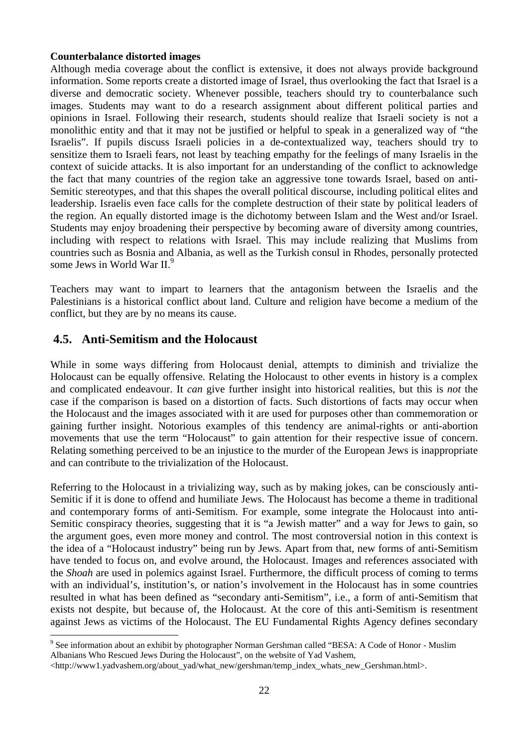#### <span id="page-21-0"></span>**Counterbalance distorted images**

Although media coverage about the conflict is extensive, it does not always provide background information. Some reports create a distorted image of Israel, thus overlooking the fact that Israel is a diverse and democratic society. Whenever possible, teachers should try to counterbalance such images. Students may want to do a research assignment about different political parties and opinions in Israel. Following their research, students should realize that Israeli society is not a monolithic entity and that it may not be justified or helpful to speak in a generalized way of "the Israelis". If pupils discuss Israeli policies in a de-contextualized way, teachers should try to sensitize them to Israeli fears, not least by teaching empathy for the feelings of many Israelis in the context of suicide attacks. It is also important for an understanding of the conflict to acknowledge the fact that many countries of the region take an aggressive tone towards Israel, based on anti-Semitic stereotypes, and that this shapes the overall political discourse, including political elites and leadership. Israelis even face calls for the complete destruction of their state by political leaders of the region. An equally distorted image is the dichotomy between Islam and the West and/or Israel. Students may enjoy broadening their perspective by becoming aware of diversity among countries, including with respect to relations with Israel. This may include realizing that Muslims from countries such as Bosnia and Albania, as well as the Turkish consul in Rhodes, personally protected some Jews in World War II.<sup>9</sup>

Teachers may want to impart to learners that the antagonism between the Israelis and the Palestinians is a historical conflict about land. Culture and religion have become a medium of the conflict, but they are by no means its cause.

## **4.5. Anti-Semitism and the Holocaust**

 $\overline{a}$ 

While in some ways differing from Holocaust denial, attempts to diminish and trivialize the Holocaust can be equally offensive. Relating the Holocaust to other events in history is a complex and complicated endeavour. It *can* give further insight into historical realities, but this is *not* the case if the comparison is based on a distortion of facts. Such distortions of facts may occur when the Holocaust and the images associated with it are used for purposes other than commemoration or gaining further insight. Notorious examples of this tendency are animal-rights or anti-abortion movements that use the term "Holocaust" to gain attention for their respective issue of concern. Relating something perceived to be an injustice to the murder of the European Jews is inappropriate and can contribute to the trivialization of the Holocaust.

Referring to the Holocaust in a trivializing way, such as by making jokes, can be consciously anti-Semitic if it is done to offend and humiliate Jews. The Holocaust has become a theme in traditional and contemporary forms of anti-Semitism. For example, some integrate the Holocaust into anti-Semitic conspiracy theories, suggesting that it is "a Jewish matter" and a way for Jews to gain, so the argument goes, even more money and control. The most controversial notion in this context is the idea of a "Holocaust industry" being run by Jews. Apart from that, new forms of anti-Semitism have tended to focus on, and evolve around, the Holocaust. Images and references associated with the *Shoah* are used in polemics against Israel. Furthermore, the difficult process of coming to terms with an individual's, institution's, or nation's involvement in the Holocaust has in some countries resulted in what has been defined as "secondary anti-Semitism", i.e., a form of anti-Semitism that exists not despite, but because of, the Holocaust. At the core of this anti-Semitism is resentment against Jews as victims of the Holocaust. The EU Fundamental Rights Agency defines secondary

<span id="page-21-1"></span><sup>&</sup>lt;sup>9</sup> See information about an exhibit by photographer Norman Gershman called "BESA: A Code of Honor - Muslim Albanians Who Rescued Jews During the Holocaust", on the website of Yad Vashem,

<sup>&</sup>lt;http://www1.yadvashem.org/about\_yad/what\_new/gershman/temp\_index\_whats\_new\_Gershman.html>.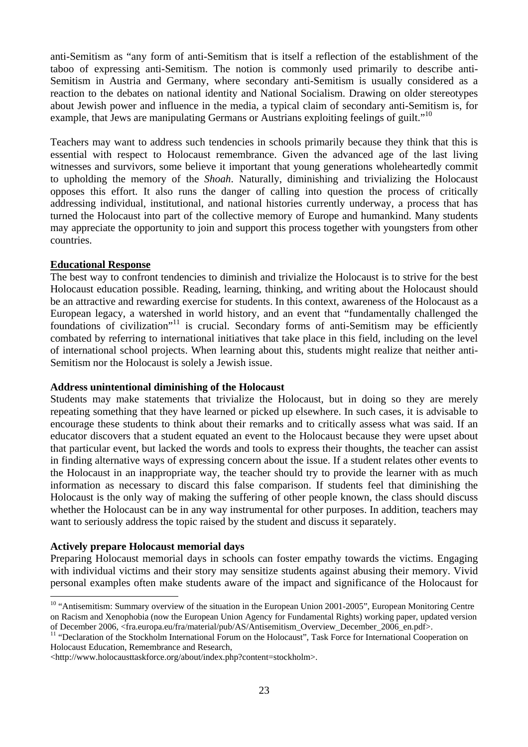anti-Semitism as "any form of anti-Semitism that is itself a reflection of the establishment of the taboo of expressing anti-Semitism. The notion is commonly used primarily to describe anti-Semitism in Austria and Germany, where secondary anti-Semitism is usually considered as a reaction to the debates on national identity and National Socialism. Drawing on older stereotypes about Jewish power and influence in the media, a typical claim of secondary anti-Semitism is, for example, that Jews are manipulating Germans or Austrians exploiting feelings of guilt."<sup>10</sup>

Teachers may want to address such tendencies in schools primarily because they think that this is essential with respect to Holocaust remembrance. Given the advanced age of the last living witnesses and survivors, some believe it important that young generations wholeheartedly commit to upholding the memory of the *Shoah*. Naturally, diminishing and trivializing the Holocaust opposes this effort. It also runs the danger of calling into question the process of critically addressing individual, institutional, and national histories currently underway, a process that has turned the Holocaust into part of the collective memory of Europe and humankind. Many students may appreciate the opportunity to join and support this process together with youngsters from other countries.

#### **Educational Response**

The best way to confront tendencies to diminish and trivialize the Holocaust is to strive for the best Holocaust education possible. Reading, learning, thinking, and writing about the Holocaust should be an attractive and rewarding exercise for students. In this context, awareness of the Holocaust as a European legacy, a watershed in world history, and an event that "fundamentally challenged the foundations of civilization"<sup>11</sup> is crucial. Secondary forms of anti-Semitism may be efficiently combated by referring to international initiatives that take place in this field, including on the level of international school projects. When learning about this, students might realize that neither anti-Semitism nor the Holocaust is solely a Jewish issue.

#### **Address unintentional diminishing of the Holocaust**

Students may make statements that trivialize the Holocaust, but in doing so they are merely repeating something that they have learned or picked up elsewhere. In such cases, it is advisable to encourage these students to think about their remarks and to critically assess what was said. If an educator discovers that a student equated an event to the Holocaust because they were upset about that particular event, but lacked the words and tools to express their thoughts, the teacher can assist in finding alternative ways of expressing concern about the issue. If a student relates other events to the Holocaust in an inappropriate way, the teacher should try to provide the learner with as much information as necessary to discard this false comparison. If students feel that diminishing the Holocaust is the only way of making the suffering of other people known, the class should discuss whether the Holocaust can be in any way instrumental for other purposes. In addition, teachers may want to seriously address the topic raised by the student and discuss it separately.

#### **Actively prepare Holocaust memorial days**

 $\overline{a}$ 

Preparing Holocaust memorial days in schools can foster empathy towards the victims. Engaging with individual victims and their story may sensitize students against abusing their memory. Vivid personal examples often make students aware of the impact and significance of the Holocaust for

<span id="page-22-0"></span><sup>&</sup>lt;sup>10</sup> "Antisemitism: Summary overview of the situation in the European Union 2001-2005", European Monitoring Centre on Racism and Xenophobia (now the European Union Agency for Fundamental Rights) working paper, updated version

<span id="page-22-1"></span>of December 2006, <fra.europa.eu/fra/material/pub/AS/Antisemitism\_Overview\_December\_2006\_en.pdf>. 11 "Declaration of the Stockholm International Forum on the Holocaust", Task Force for International Cooperation on Holocaust Education, Remembrance and Research,

<sup>&</sup>lt;http://www.holocausttaskforce.org/about/index.php?content=stockholm>.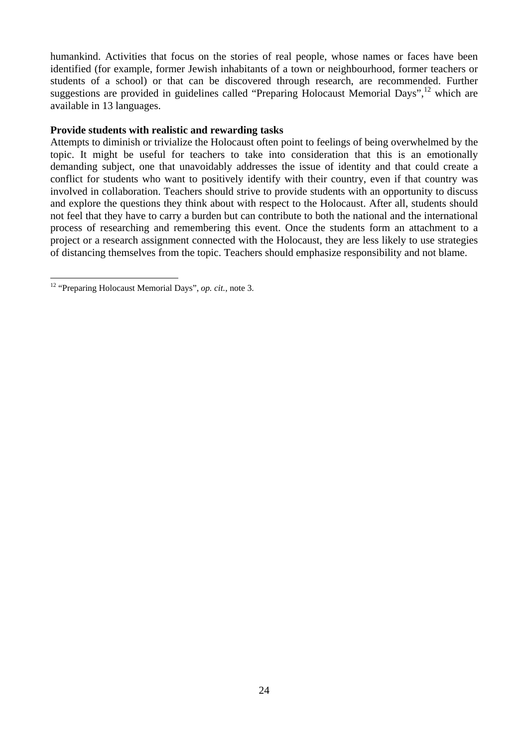humankind. Activities that focus on the stories of real people, whose names or faces have been identified (for example, former Jewish inhabitants of a town or neighbourhood, former teachers or students of a school) or that can be discovered through research, are recommended. Further suggestions are provided in guidelines called "Preparing Holocaust Memorial Days",<sup>12</sup> which are available in 13 languages.

#### **Provide students with realistic and rewarding tasks**

Attempts to diminish or trivialize the Holocaust often point to feelings of being overwhelmed by the topic. It might be useful for teachers to take into consideration that this is an emotionally demanding subject, one that unavoidably addresses the issue of identity and that could create a conflict for students who want to positively identify with their country, even if that country was involved in collaboration. Teachers should strive to provide students with an opportunity to discuss and explore the questions they think about with respect to the Holocaust. After all, students should not feel that they have to carry a burden but can contribute to both the national and the international process of researching and remembering this event. Once the students form an attachment to a project or a research assignment connected with the Holocaust, they are less likely to use strategies of distancing themselves from the topic. Teachers should emphasize responsibility and not blame.

 $\overline{a}$ 

<span id="page-23-0"></span><sup>12 &</sup>quot;Preparing Holocaust Memorial Days", *op. cit.*, note 3.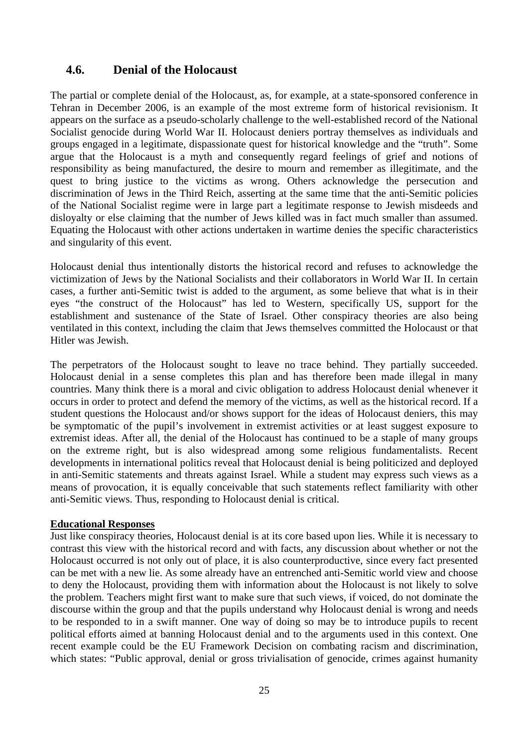## <span id="page-24-0"></span> **4.6. Denial of the Holocaust**

The partial or complete denial of the Holocaust, as, for example, at a state-sponsored conference in Tehran in December 2006, is an example of the most extreme form of historical revisionism. It appears on the surface as a pseudo-scholarly challenge to the well-established record of the National Socialist genocide during World War II. Holocaust deniers portray themselves as individuals and groups engaged in a legitimate, dispassionate quest for historical knowledge and the "truth". Some argue that the Holocaust is a myth and consequently regard feelings of grief and notions of responsibility as being manufactured, the desire to mourn and remember as illegitimate, and the quest to bring justice to the victims as wrong. Others acknowledge the persecution and discrimination of Jews in the Third Reich, asserting at the same time that the anti-Semitic policies of the National Socialist regime were in large part a legitimate response to Jewish misdeeds and disloyalty or else claiming that the number of Jews killed was in fact much smaller than assumed. Equating the Holocaust with other actions undertaken in wartime denies the specific characteristics and singularity of this event.

Holocaust denial thus intentionally distorts the historical record and refuses to acknowledge the victimization of Jews by the National Socialists and their collaborators in World War II. In certain cases, a further anti-Semitic twist is added to the argument, as some believe that what is in their eyes "the construct of the Holocaust" has led to Western, specifically US, support for the establishment and sustenance of the State of Israel. Other conspiracy theories are also being ventilated in this context, including the claim that Jews themselves committed the Holocaust or that Hitler was Jewish.

The perpetrators of the Holocaust sought to leave no trace behind. They partially succeeded. Holocaust denial in a sense completes this plan and has therefore been made illegal in many countries. Many think there is a moral and civic obligation to address Holocaust denial whenever it occurs in order to protect and defend the memory of the victims, as well as the historical record. If a student questions the Holocaust and/or shows support for the ideas of Holocaust deniers, this may be symptomatic of the pupil's involvement in extremist activities or at least suggest exposure to extremist ideas. After all, the denial of the Holocaust has continued to be a staple of many groups on the extreme right, but is also widespread among some religious fundamentalists. Recent developments in international politics reveal that Holocaust denial is being politicized and deployed in anti-Semitic statements and threats against Israel. While a student may express such views as a means of provocation, it is equally conceivable that such statements reflect familiarity with other anti-Semitic views. Thus, responding to Holocaust denial is critical.

#### **Educational Responses**

Just like conspiracy theories, Holocaust denial is at its core based upon lies. While it is necessary to contrast this view with the historical record and with facts, any discussion about whether or not the Holocaust occurred is not only out of place, it is also counterproductive, since every fact presented can be met with a new lie. As some already have an entrenched anti-Semitic world view and choose to deny the Holocaust, providing them with information about the Holocaust is not likely to solve the problem. Teachers might first want to make sure that such views, if voiced, do not dominate the discourse within the group and that the pupils understand why Holocaust denial is wrong and needs to be responded to in a swift manner. One way of doing so may be to introduce pupils to recent political efforts aimed at banning Holocaust denial and to the arguments used in this context. One recent example could be the EU Framework Decision on combating racism and discrimination, which states: "Public approval, denial or gross trivialisation of genocide, crimes against humanity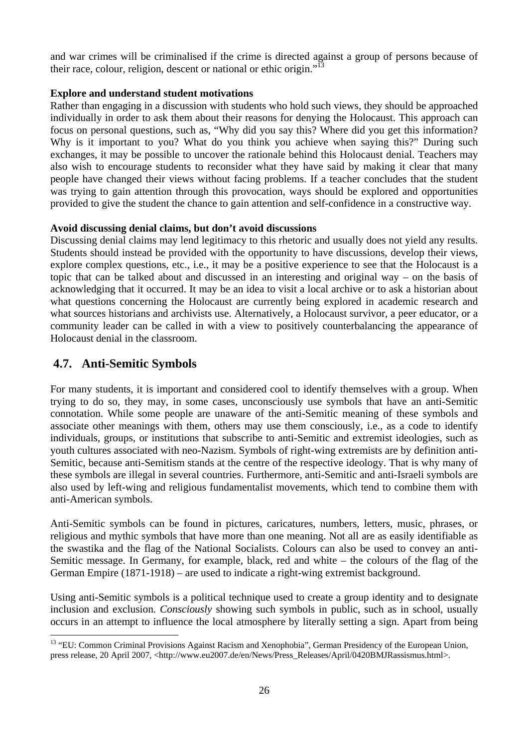<span id="page-25-0"></span>and war crimes will be criminalised if the crime is directed against a group of persons because of their race, colour, religion, descent or national or ethic origin."<sup>13</sup>

#### **Explore and understand student motivations**

Rather than engaging in a discussion with students who hold such views, they should be approached individually in order to ask them about their reasons for denying the Holocaust. This approach can focus on personal questions, such as, "Why did you say this? Where did you get this information? Why is it important to you? What do you think you achieve when saying this?" During such exchanges, it may be possible to uncover the rationale behind this Holocaust denial. Teachers may also wish to encourage students to reconsider what they have said by making it clear that many people have changed their views without facing problems. If a teacher concludes that the student was trying to gain attention through this provocation, ways should be explored and opportunities provided to give the student the chance to gain attention and self-confidence in a constructive way.

#### **Avoid discussing denial claims, but don't avoid discussions**

Discussing denial claims may lend legitimacy to this rhetoric and usually does not yield any results. Students should instead be provided with the opportunity to have discussions, develop their views, explore complex questions, etc., i.e., it may be a positive experience to see that the Holocaust is a topic that can be talked about and discussed in an interesting and original way – on the basis of acknowledging that it occurred. It may be an idea to visit a local archive or to ask a historian about what questions concerning the Holocaust are currently being explored in academic research and what sources historians and archivists use. Alternatively, a Holocaust survivor, a peer educator, or a community leader can be called in with a view to positively counterbalancing the appearance of Holocaust denial in the classroom.

## **4.7. Anti-Semitic Symbols**

 $\overline{a}$ 

For many students, it is important and considered cool to identify themselves with a group. When trying to do so, they may, in some cases, unconsciously use symbols that have an anti-Semitic connotation. While some people are unaware of the anti-Semitic meaning of these symbols and associate other meanings with them, others may use them consciously, i.e., as a code to identify individuals, groups, or institutions that subscribe to anti-Semitic and extremist ideologies, such as youth cultures associated with neo-Nazism. Symbols of right-wing extremists are by definition anti-Semitic, because anti-Semitism stands at the centre of the respective ideology. That is why many of these symbols are illegal in several countries. Furthermore, anti-Semitic and anti-Israeli symbols are also used by left-wing and religious fundamentalist movements, which tend to combine them with anti-American symbols.

Anti-Semitic symbols can be found in pictures, caricatures, numbers, letters, music, phrases, or religious and mythic symbols that have more than one meaning. Not all are as easily identifiable as the swastika and the flag of the National Socialists. Colours can also be used to convey an anti-Semitic message. In Germany, for example, black, red and white – the colours of the flag of the German Empire (1871-1918) – are used to indicate a right-wing extremist background.

Using anti-Semitic symbols is a political technique used to create a group identity and to designate inclusion and exclusion. *Consciously* showing such symbols in public, such as in school, usually occurs in an attempt to influence the local atmosphere by literally setting a sign. Apart from being

<span id="page-25-1"></span><sup>&</sup>lt;sup>13</sup> "EU: Common Criminal Provisions Against Racism and Xenophobia", German Presidency of the European Union, press release, 20 April 2007, <http://www.eu2007.de/en/News/Press\_Releases/April/0420BMJRassismus.html>.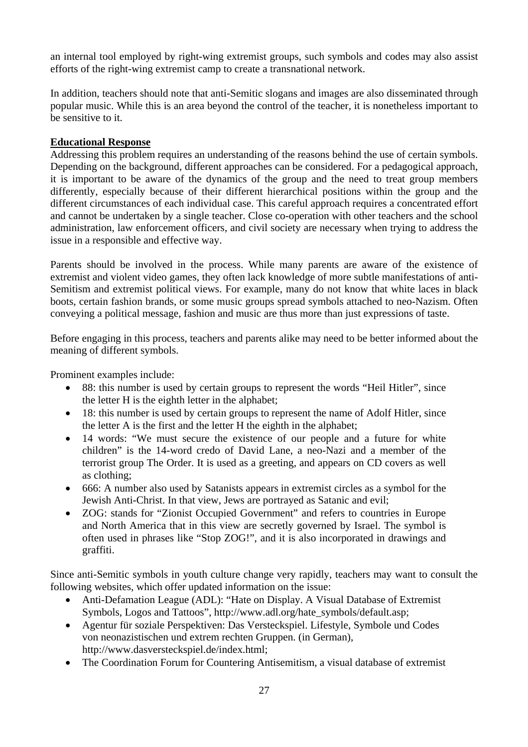an internal tool employed by right-wing extremist groups, such symbols and codes may also assist efforts of the right-wing extremist camp to create a transnational network.

In addition, teachers should note that anti-Semitic slogans and images are also disseminated through popular music. While this is an area beyond the control of the teacher, it is nonetheless important to be sensitive to it.

#### **Educational Response**

Addressing this problem requires an understanding of the reasons behind the use of certain symbols. Depending on the background, different approaches can be considered. For a pedagogical approach, it is important to be aware of the dynamics of the group and the need to treat group members differently, especially because of their different hierarchical positions within the group and the different circumstances of each individual case. This careful approach requires a concentrated effort and cannot be undertaken by a single teacher. Close co-operation with other teachers and the school administration, law enforcement officers, and civil society are necessary when trying to address the issue in a responsible and effective way.

Parents should be involved in the process. While many parents are aware of the existence of extremist and violent video games, they often lack knowledge of more subtle manifestations of anti-Semitism and extremist political views. For example, many do not know that white laces in black boots, certain fashion brands, or some music groups spread symbols attached to neo-Nazism. Often conveying a political message, fashion and music are thus more than just expressions of taste.

Before engaging in this process, teachers and parents alike may need to be better informed about the meaning of different symbols.

Prominent examples include:

- 88: this number is used by certain groups to represent the words "Heil Hitler", since the letter H is the eighth letter in the alphabet;
- 18: this number is used by certain groups to represent the name of Adolf Hitler, since the letter A is the first and the letter H the eighth in the alphabet;
- 14 words: "We must secure the existence of our people and a future for white children" is the 14-word credo of David Lane, a neo-Nazi and a member of the terrorist group The Order. It is used as a greeting, and appears on CD covers as well as clothing;
- 666: A number also used by Satanists appears in extremist circles as a symbol for the Jewish Anti-Christ. In that view, Jews are portrayed as Satanic and evil;
- ZOG: stands for "Zionist Occupied Government" and refers to countries in Europe and North America that in this view are secretly governed by Israel. The symbol is often used in phrases like "Stop ZOG!", and it is also incorporated in drawings and graffiti.

Since anti-Semitic symbols in youth culture change very rapidly, teachers may want to consult the following websites, which offer updated information on the issue:

- Anti-Defamation League (ADL): "Hate on Display. A Visual Database of Extremist Symbols, Logos and Tattoos", http://www.adl.org/hate\_symbols/default.asp;
- Agentur für soziale Perspektiven: Das Versteckspiel. Lifestyle, Symbole und Codes von neonazistischen und extrem rechten Gruppen. (in German), http://www.dasversteckspiel.de/index.html;
- The Coordination Forum for Countering Antisemitism, a visual database of extremist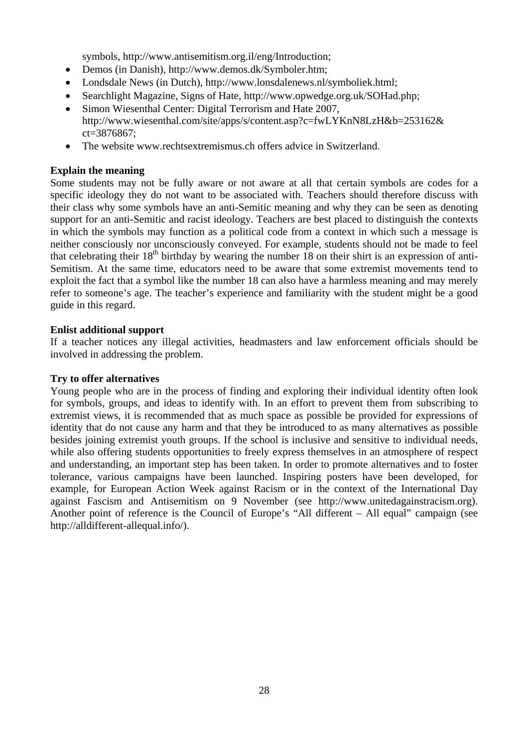symbols, http://www.antisemitism.org.il/eng/Introduction;

- Demos (in Danish), http://www.demos.dk/Symboler.htm;
- Londsdale News (in Dutch), http://www.lonsdalenews.nl/symboliek.html;
- Searchlight Magazine, Signs of Hate, http://www.opwedge.org.uk/SOHad.php;
- Simon Wiesenthal Center: Digital Terrorism and Hate 2007, http://www.wiesenthal.com/site/apps/s/content.asp?c=fwLYKnN8LzH&b=253162& ct=3876867;
- The website www.rechtsextremismus.ch offers advice in Switzerland.

#### **Explain the meaning**

Some students may not be fully aware or not aware at all that certain symbols are codes for a specific ideology they do not want to be associated with. Teachers should therefore discuss with their class why some symbols have an anti-Semitic meaning and why they can be seen as denoting support for an anti-Semitic and racist ideology. Teachers are best placed to distinguish the contexts in which the symbols may function as a political code from a context in which such a message is neither consciously nor unconsciously conveyed. For example, students should not be made to feel that celebrating their  $18<sup>th</sup>$  birthday by wearing the number 18 on their shirt is an expression of anti-Semitism. At the same time, educators need to be aware that some extremist movements tend to exploit the fact that a symbol like the number 18 can also have a harmless meaning and may merely refer to someone's age. The teacher's experience and familiarity with the student might be a good guide in this regard.

#### **Enlist additional support**

If a teacher notices any illegal activities, headmasters and law enforcement officials should be involved in addressing the problem.

#### **Try to offer alternatives**

Young people who are in the process of finding and exploring their individual identity often look for symbols, groups, and ideas to identify with. In an effort to prevent them from subscribing to extremist views, it is recommended that as much space as possible be provided for expressions of identity that do not cause any harm and that they be introduced to as many alternatives as possible besides joining extremist youth groups. If the school is inclusive and sensitive to individual needs, while also offering students opportunities to freely express themselves in an atmosphere of respect and understanding, an important step has been taken. In order to promote alternatives and to foster tolerance, various campaigns have been launched. Inspiring posters have been developed, for example, for European Action Week against Racism or in the context of the International Day against Fascism and Antisemitism on 9 November (see http://www.unitedagainstracism.org). Another point of reference is the Council of Europe's "All different – All equal" campaign (see http://alldifferent-allequal.info/).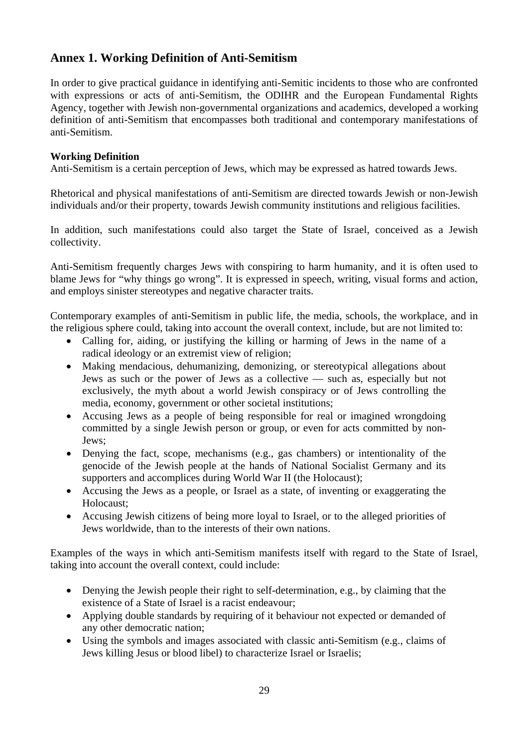## <span id="page-28-0"></span>**Annex 1. Working Definition of Anti-Semitism**

In order to give practical guidance in identifying anti-Semitic incidents to those who are confronted with expressions or acts of anti-Semitism, the ODIHR and the European Fundamental Rights Agency, together with Jewish non-governmental organizations and academics, developed a working definition of anti-Semitism that encompasses both traditional and contemporary manifestations of anti-Semitism.

#### **Working Definition**

Anti-Semitism is a certain perception of Jews, which may be expressed as hatred towards Jews.

Rhetorical and physical manifestations of anti-Semitism are directed towards Jewish or non-Jewish individuals and/or their property, towards Jewish community institutions and religious facilities.

In addition, such manifestations could also target the State of Israel, conceived as a Jewish collectivity.

Anti-Semitism frequently charges Jews with conspiring to harm humanity, and it is often used to blame Jews for "why things go wrong". It is expressed in speech, writing, visual forms and action, and employs sinister stereotypes and negative character traits.

Contemporary examples of anti-Semitism in public life, the media, schools, the workplace, and in the religious sphere could, taking into account the overall context, include, but are not limited to:

- Calling for, aiding, or justifying the killing or harming of Jews in the name of a radical ideology or an extremist view of religion;
- Making mendacious, dehumanizing, demonizing, or stereotypical allegations about Jews as such or the power of Jews as a collective — such as, especially but not exclusively, the myth about a world Jewish conspiracy or of Jews controlling the media, economy, government or other societal institutions;
- Accusing Jews as a people of being responsible for real or imagined wrongdoing committed by a single Jewish person or group, or even for acts committed by non-Jews;
- Denying the fact, scope, mechanisms (e.g., gas chambers) or intentionality of the genocide of the Jewish people at the hands of National Socialist Germany and its supporters and accomplices during World War II (the Holocaust);
- Accusing the Jews as a people, or Israel as a state, of inventing or exaggerating the Holocaust;
- Accusing Jewish citizens of being more loyal to Israel, or to the alleged priorities of Jews worldwide, than to the interests of their own nations.

Examples of the ways in which anti-Semitism manifests itself with regard to the State of Israel, taking into account the overall context, could include:

- Denying the Jewish people their right to self-determination, e.g., by claiming that the existence of a State of Israel is a racist endeavour;
- Applying double standards by requiring of it behaviour not expected or demanded of any other democratic nation;
- Using the symbols and images associated with classic anti-Semitism (e.g., claims of Jews killing Jesus or blood libel) to characterize Israel or Israelis;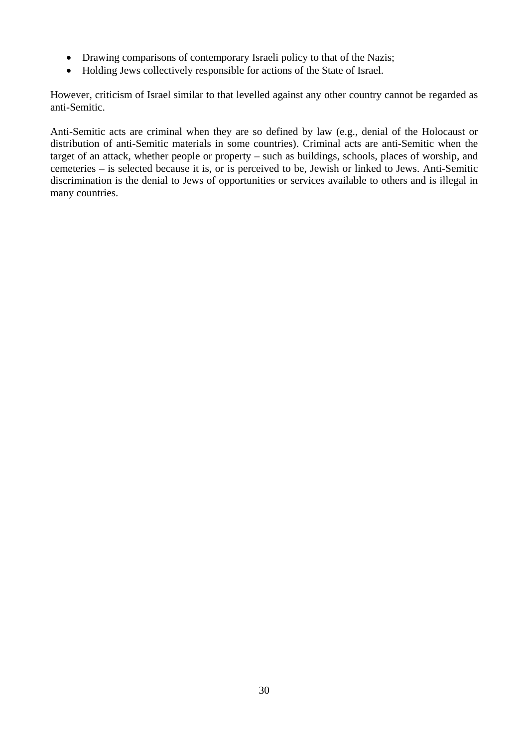- Drawing comparisons of contemporary Israeli policy to that of the Nazis;
- Holding Jews collectively responsible for actions of the State of Israel.

However, criticism of Israel similar to that levelled against any other country cannot be regarded as anti-Semitic.

Anti-Semitic acts are criminal when they are so defined by law (e.g., denial of the Holocaust or distribution of anti-Semitic materials in some countries). Criminal acts are anti-Semitic when the target of an attack, whether people or property – such as buildings, schools, places of worship, and cemeteries – is selected because it is, or is perceived to be, Jewish or linked to Jews. Anti-Semitic discrimination is the denial to Jews of opportunities or services available to others and is illegal in many countries.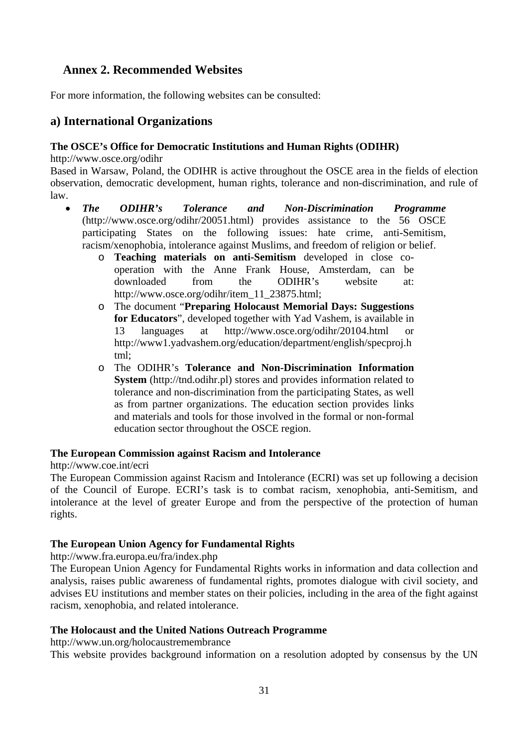## <span id="page-30-0"></span>**Annex 2. Recommended Websites**

For more information, the following websites can be consulted:

## **a) International Organizations**

#### **The OSCE's Office for Democratic Institutions and Human Rights (ODIHR)**

http://www.osce.org/odihr

Based in Warsaw, Poland, the ODIHR is active throughout the OSCE area in the fields of election observation, democratic development, human rights, tolerance and non-discrimination, and rule of law.

- *The ODIHR's Tolerance and Non-Discrimination Programme*  (http://www.osce.org/odihr/20051.html) provides assistance to the 56 OSCE participating States on the following issues: hate crime, anti-Semitism, racism/xenophobia, intolerance against Muslims, and freedom of religion or belief.
	- o **Teaching materials on anti-Semitism** developed in close cooperation with the Anne Frank House, Amsterdam, can be downloaded from the ODIHR's website at: http://www.osce.org/odihr/item\_11\_23875.html;
	- o The document "**Preparing Holocaust Memorial Days: Suggestions for Educators**", developed together with Yad Vashem, is available in 13 languages at http://www.osce.org/odihr/20104.html or http://www1.yadvashem.org/education/department/english/specproj.h tml;
	- o The ODIHR's **Tolerance and Non-Discrimination Information System** (http://tnd.odihr.pl) stores and provides information related to tolerance and non-discrimination from the participating States, as well as from partner organizations. The education section provides links and materials and tools for those involved in the formal or non-formal education sector throughout the OSCE region.

#### **The European Commission against Racism and Intolerance**

http://www.coe.int/ecri

The European Commission against Racism and Intolerance (ECRI) was set up following a decision of the Council of Europe. ECRI's task is to combat racism, xenophobia, anti-Semitism, and intolerance at the level of greater Europe and from the perspective of the protection of human rights.

#### **The European Union Agency for Fundamental Rights**

http://www.fra.europa.eu/fra/index.php

The European Union Agency for Fundamental Rights works in information and data collection and analysis, raises public awareness of fundamental rights, promotes dialogue with civil society, and advises EU institutions and member states on their policies, including in the area of the fight against racism, xenophobia, and related intolerance.

#### **The Holocaust and the United Nations Outreach Programme**

http://www.un.org/holocaustremembrance

This website provides background information on a resolution adopted by consensus by the UN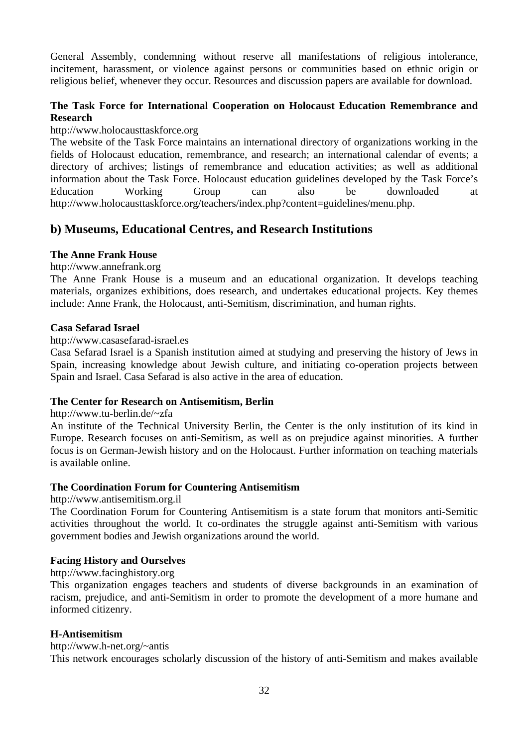General Assembly, condemning without reserve all manifestations of religious intolerance, incitement, harassment, or violence against persons or communities based on ethnic origin or religious belief, whenever they occur. Resources and discussion papers are available for download.

#### **The Task Force for International Cooperation on Holocaust Education Remembrance and Research**

http://www.holocausttaskforce.org

The website of the Task Force maintains an international directory of organizations working in the fields of Holocaust education, remembrance, and research; an international calendar of events; a directory of archives; listings of remembrance and education activities; as well as additional information about the Task Force. Holocaust education guidelines developed by the Task Force's Education Working Group can also be downloaded at http://www.holocausttaskforce.org/teachers/index.php?content=guidelines/menu.php.

## **b) Museums, Educational Centres, and Research Institutions**

#### **The Anne Frank House**

http://www.annefrank.org

The Anne Frank House is a museum and an educational organization. It develops teaching materials, organizes exhibitions, does research, and undertakes educational projects. Key themes include: Anne Frank, the Holocaust, anti-Semitism, discrimination, and human rights.

#### **Casa Sefarad Israel**

#### http://www.casasefarad-israel.es

Casa Sefarad Israel is a Spanish institution aimed at studying and preserving the history of Jews in Spain, increasing knowledge about Jewish culture, and initiating co-operation projects between Spain and Israel. Casa Sefarad is also active in the area of education.

#### **The Center for Research on Antisemitism, Berlin**

http://www.tu-berlin.de/~zfa

An institute of the Technical University Berlin, the Center is the only institution of its kind in Europe. Research focuses on anti-Semitism, as well as on prejudice against minorities. A further focus is on German-Jewish history and on the Holocaust. Further information on teaching materials is available online.

#### **The Coordination Forum for Countering Antisemitism**

http://www.antisemitism.org.il

The Coordination Forum for Countering Antisemitism is a state forum that monitors anti-Semitic activities throughout the world. It co-ordinates the struggle against anti-Semitism with various government bodies and Jewish organizations around the world.

#### **Facing History and Ourselves**

http://www.facinghistory.org

This organization engages teachers and students of diverse backgrounds in an examination of racism, prejudice, and anti-Semitism in order to promote the development of a more humane and informed citizenry.

#### **H-Antisemitism**

http://www.h-net.org/~antis

This network encourages scholarly discussion of the history of anti-Semitism and makes available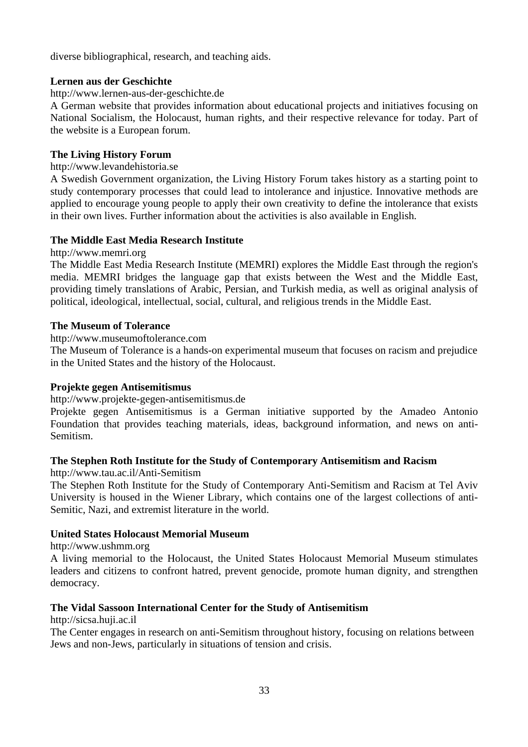diverse bibliographical, research, and teaching aids.

#### **Lernen aus der Geschichte**

http://www.lernen-aus-der-geschichte.de

A German website that provides information about educational projects and initiatives focusing on National Socialism, the Holocaust, human rights, and their respective relevance for today. Part of the website is a European forum.

#### **The Living History Forum**

http://www.levandehistoria.se

A Swedish Government organization, the Living History Forum takes history as a starting point to study contemporary processes that could lead to intolerance and injustice. Innovative methods are applied to encourage young people to apply their own creativity to define the intolerance that exists in their own lives. Further information about the activities is also available in English.

#### **The Middle East Media Research Institute**

http://www.memri.org

The Middle East Media Research Institute (MEMRI) explores the Middle East through the region's media. MEMRI bridges the language gap that exists between the West and the Middle East, providing timely translations of Arabic, Persian, and Turkish media, as well as original analysis of political, ideological, intellectual, social, cultural, and religious trends in the Middle East.

#### **The Museum of Tolerance**

http://www.museumoftolerance.com

The Museum of Tolerance is a hands-on experimental museum that focuses on racism and prejudice in the United States and the history of the Holocaust.

#### **Projekte gegen Antisemitismus**

http://www.projekte-gegen-antisemitismus.de

Projekte gegen Antisemitismus is a German initiative supported by the Amadeo Antonio Foundation that provides teaching materials, ideas, background information, and news on anti-Semitism.

#### **The Stephen Roth Institute for the Study of Contemporary Antisemitism and Racism**

http://www.tau.ac.il/Anti-Semitism

The Stephen Roth Institute for the Study of Contemporary Anti-Semitism and Racism at Tel Aviv University is housed in the Wiener Library, which contains one of the largest collections of anti-Semitic, Nazi, and extremist literature in the world.

#### **United States Holocaust Memorial Museum**

http://www.ushmm.org

A living memorial to the Holocaust, the United States Holocaust Memorial Museum stimulates leaders and citizens to confront hatred, prevent genocide, promote human dignity, and strengthen democracy.

#### **The Vidal Sassoon International Center for the Study of Antisemitism**

http://sicsa.huji.ac.il

The Center engages in research on anti-Semitism throughout history, focusing on relations between Jews and non-Jews, particularly in situations of tension and crisis.